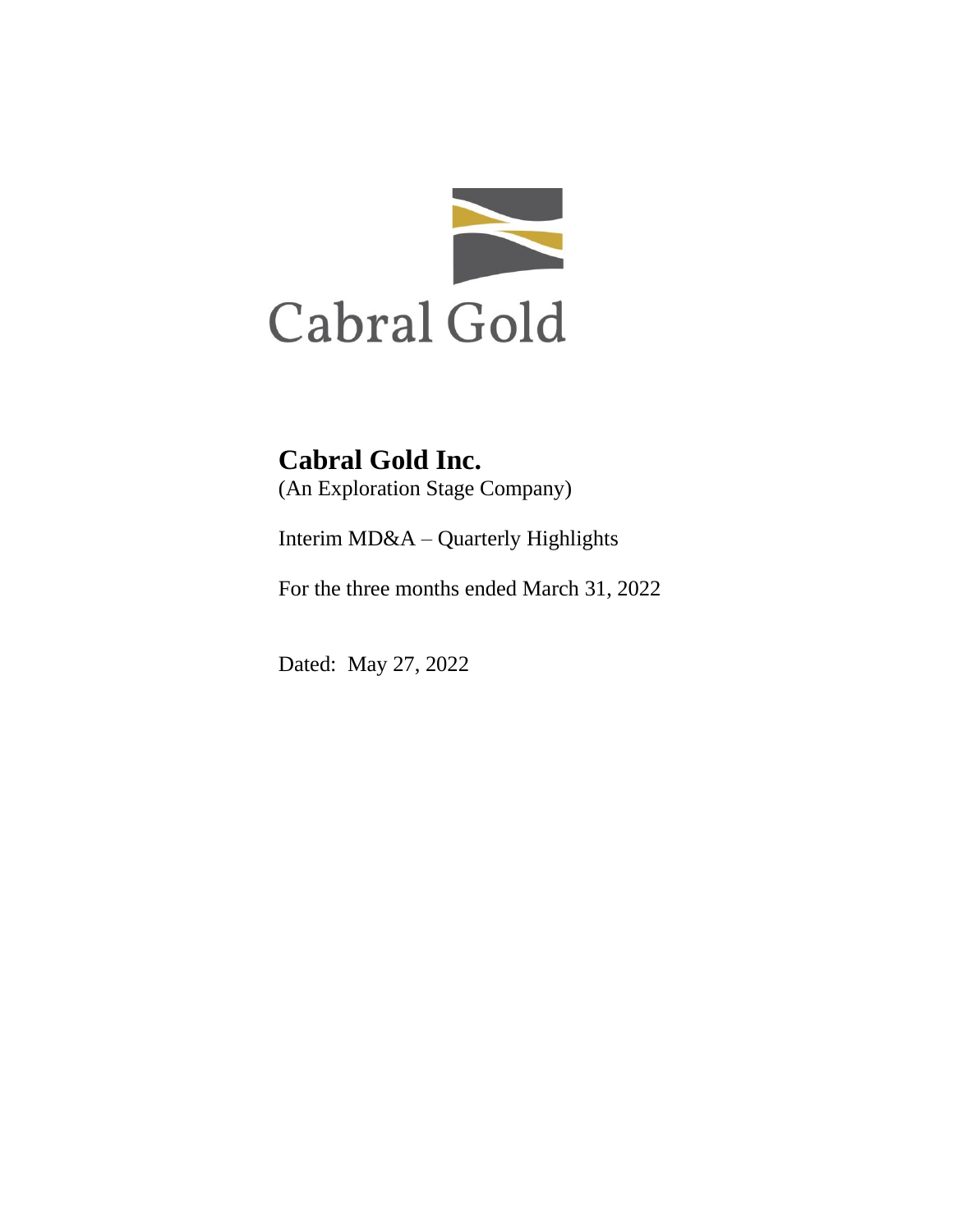

# **Cabral Gold Inc.**

(An Exploration Stage Company)

Interim MD&A – Quarterly Highlights

For the three months ended March 31, 2022

Dated: May 27, 2022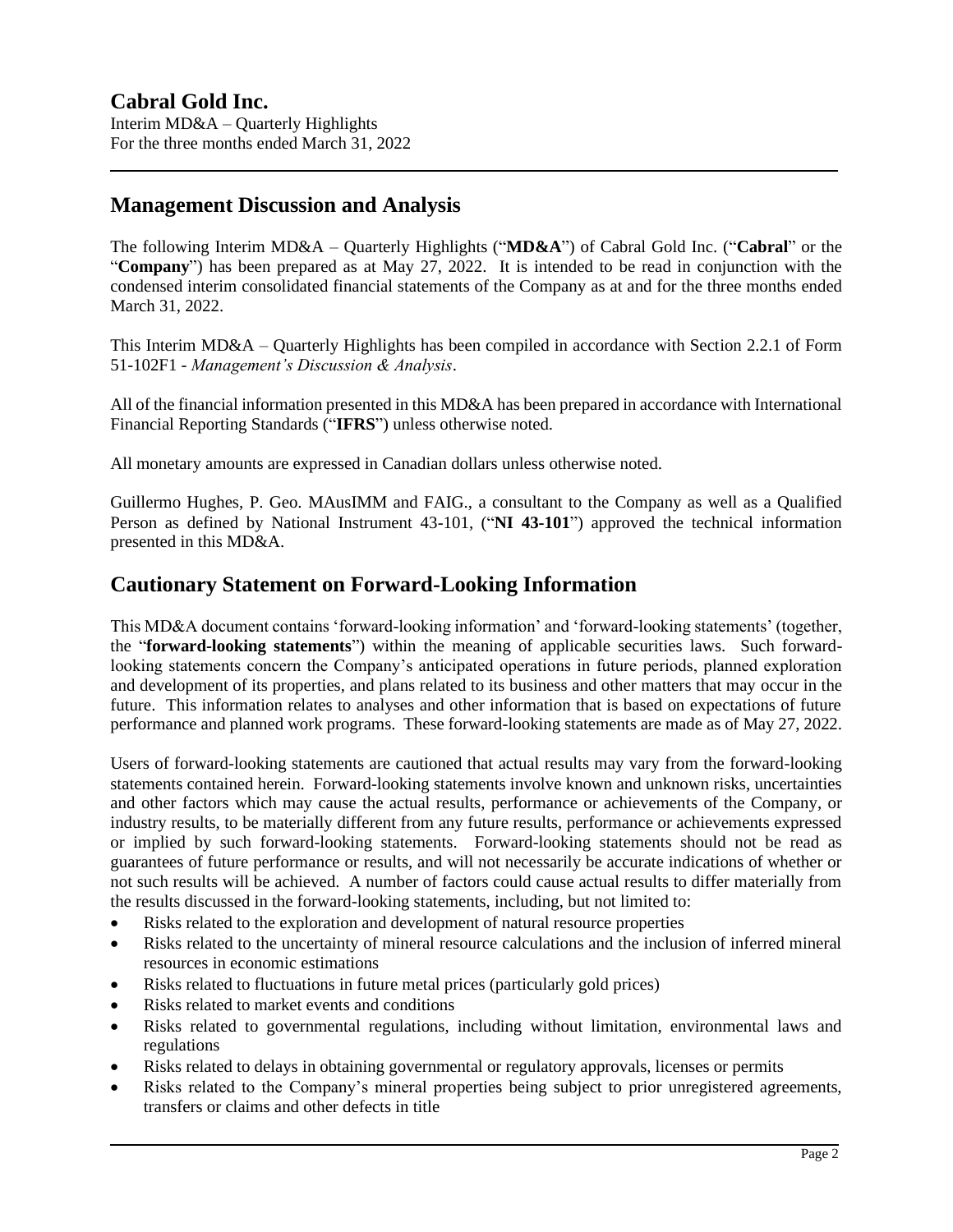# **Management Discussion and Analysis**

The following Interim MD&A – Quarterly Highlights ("**MD&A**") of Cabral Gold Inc. ("**Cabral**" or the "**Company**") has been prepared as at May 27, 2022. It is intended to be read in conjunction with the condensed interim consolidated financial statements of the Company as at and for the three months ended March 31, 2022.

This Interim MD&A – Quarterly Highlights has been compiled in accordance with Section 2.2.1 of Form 51-102F1 - *Management's Discussion & Analysis*.

All of the financial information presented in this MD&A has been prepared in accordance with International Financial Reporting Standards ("**IFRS**") unless otherwise noted.

All monetary amounts are expressed in Canadian dollars unless otherwise noted.

Guillermo Hughes, P. Geo. MAusIMM and FAIG., a consultant to the Company as well as a Qualified Person as defined by National Instrument 43-101, ("**NI 43-101**") approved the technical information presented in this MD&A.

# **Cautionary Statement on Forward-Looking Information**

This MD&A document contains 'forward-looking information' and 'forward-looking statements' (together, the "**forward-looking statements**") within the meaning of applicable securities laws. Such forwardlooking statements concern the Company's anticipated operations in future periods, planned exploration and development of its properties, and plans related to its business and other matters that may occur in the future. This information relates to analyses and other information that is based on expectations of future performance and planned work programs. These forward-looking statements are made as of May 27, 2022.

Users of forward-looking statements are cautioned that actual results may vary from the forward-looking statements contained herein. Forward-looking statements involve known and unknown risks, uncertainties and other factors which may cause the actual results, performance or achievements of the Company, or industry results, to be materially different from any future results, performance or achievements expressed or implied by such forward-looking statements. Forward-looking statements should not be read as guarantees of future performance or results, and will not necessarily be accurate indications of whether or not such results will be achieved. A number of factors could cause actual results to differ materially from the results discussed in the forward-looking statements, including, but not limited to:

- Risks related to the exploration and development of natural resource properties
- Risks related to the uncertainty of mineral resource calculations and the inclusion of inferred mineral resources in economic estimations
- Risks related to fluctuations in future metal prices (particularly gold prices)
- Risks related to market events and conditions
- Risks related to governmental regulations, including without limitation, environmental laws and regulations
- Risks related to delays in obtaining governmental or regulatory approvals, licenses or permits
- Risks related to the Company's mineral properties being subject to prior unregistered agreements, transfers or claims and other defects in title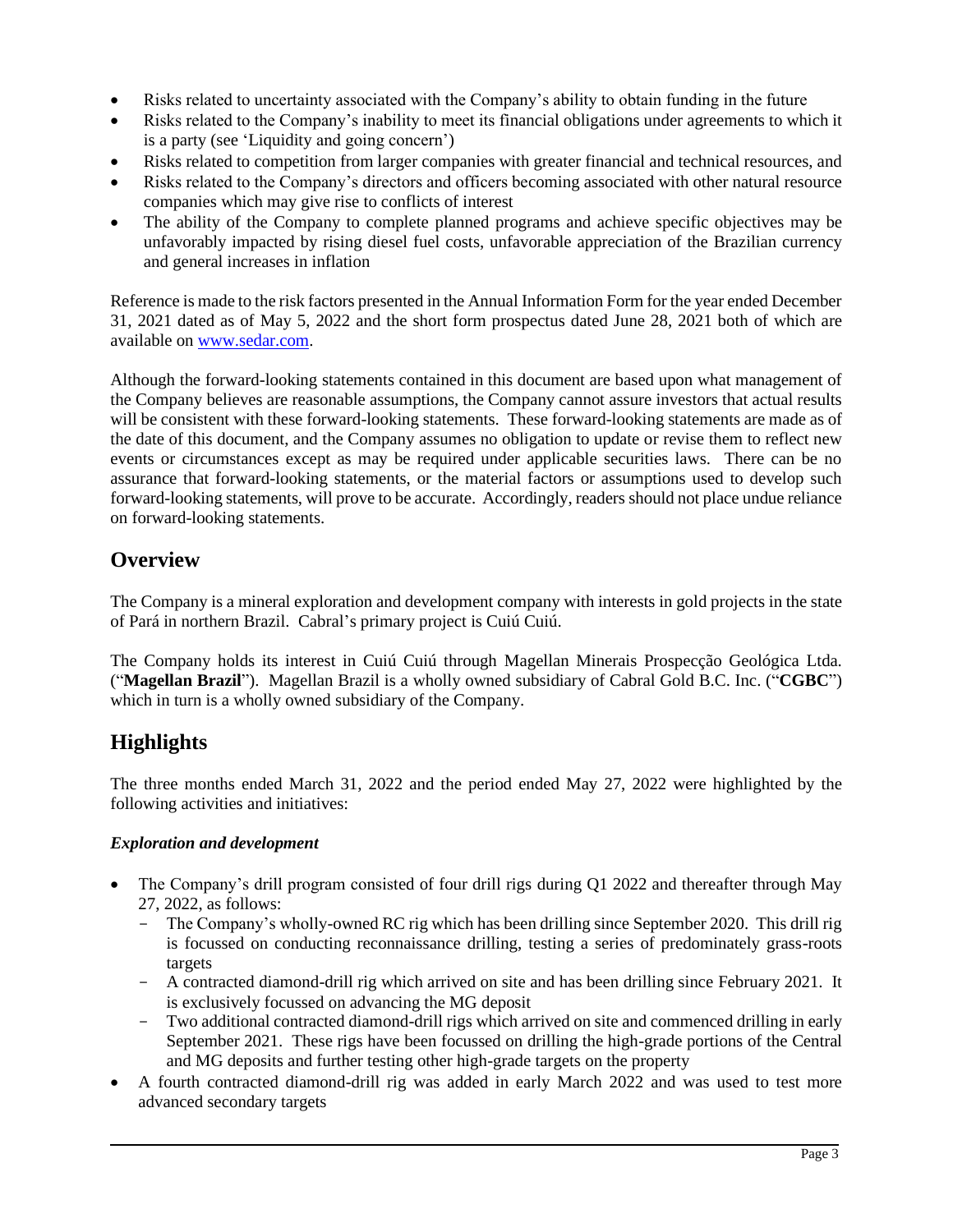- Risks related to uncertainty associated with the Company's ability to obtain funding in the future
- Risks related to the Company's inability to meet its financial obligations under agreements to which it is a party (see 'Liquidity and going concern')
- Risks related to competition from larger companies with greater financial and technical resources, and
- Risks related to the Company's directors and officers becoming associated with other natural resource companies which may give rise to conflicts of interest
- The ability of the Company to complete planned programs and achieve specific objectives may be unfavorably impacted by rising diesel fuel costs, unfavorable appreciation of the Brazilian currency and general increases in inflation

Reference is made to the risk factors presented in the Annual Information Form for the year ended December 31, 2021 dated as of May 5, 2022 and the short form prospectus dated June 28, 2021 both of which are available on [www.sedar.com.](http://www.sedar.com/)

Although the forward-looking statements contained in this document are based upon what management of the Company believes are reasonable assumptions, the Company cannot assure investors that actual results will be consistent with these forward-looking statements. These forward-looking statements are made as of the date of this document, and the Company assumes no obligation to update or revise them to reflect new events or circumstances except as may be required under applicable securities laws. There can be no assurance that forward-looking statements, or the material factors or assumptions used to develop such forward-looking statements, will prove to be accurate. Accordingly, readers should not place undue reliance on forward-looking statements.

# **Overview**

The Company is a mineral exploration and development company with interests in gold projects in the state of Pará in northern Brazil. Cabral's primary project is Cuiú Cuiú.

The Company holds its interest in Cuiú Cuiú through Magellan Minerais Prospecção Geológica Ltda. ("**Magellan Brazil**"). Magellan Brazil is a wholly owned subsidiary of Cabral Gold B.C. Inc. ("**CGBC**") which in turn is a wholly owned subsidiary of the Company.

# **Highlights**

The three months ended March 31, 2022 and the period ended May 27, 2022 were highlighted by the following activities and initiatives:

### *Exploration and development*

- The Company's drill program consisted of four drill rigs during Q1 2022 and thereafter through May 27, 2022, as follows:
	- The Company's wholly-owned RC rig which has been drilling since September 2020. This drill rig is focussed on conducting reconnaissance drilling, testing a series of predominately grass-roots targets
	- A contracted diamond-drill rig which arrived on site and has been drilling since February 2021. It is exclusively focussed on advancing the MG deposit
	- Two additional contracted diamond-drill rigs which arrived on site and commenced drilling in early September 2021. These rigs have been focussed on drilling the high-grade portions of the Central and MG deposits and further testing other high-grade targets on the property
- A fourth contracted diamond-drill rig was added in early March 2022 and was used to test more advanced secondary targets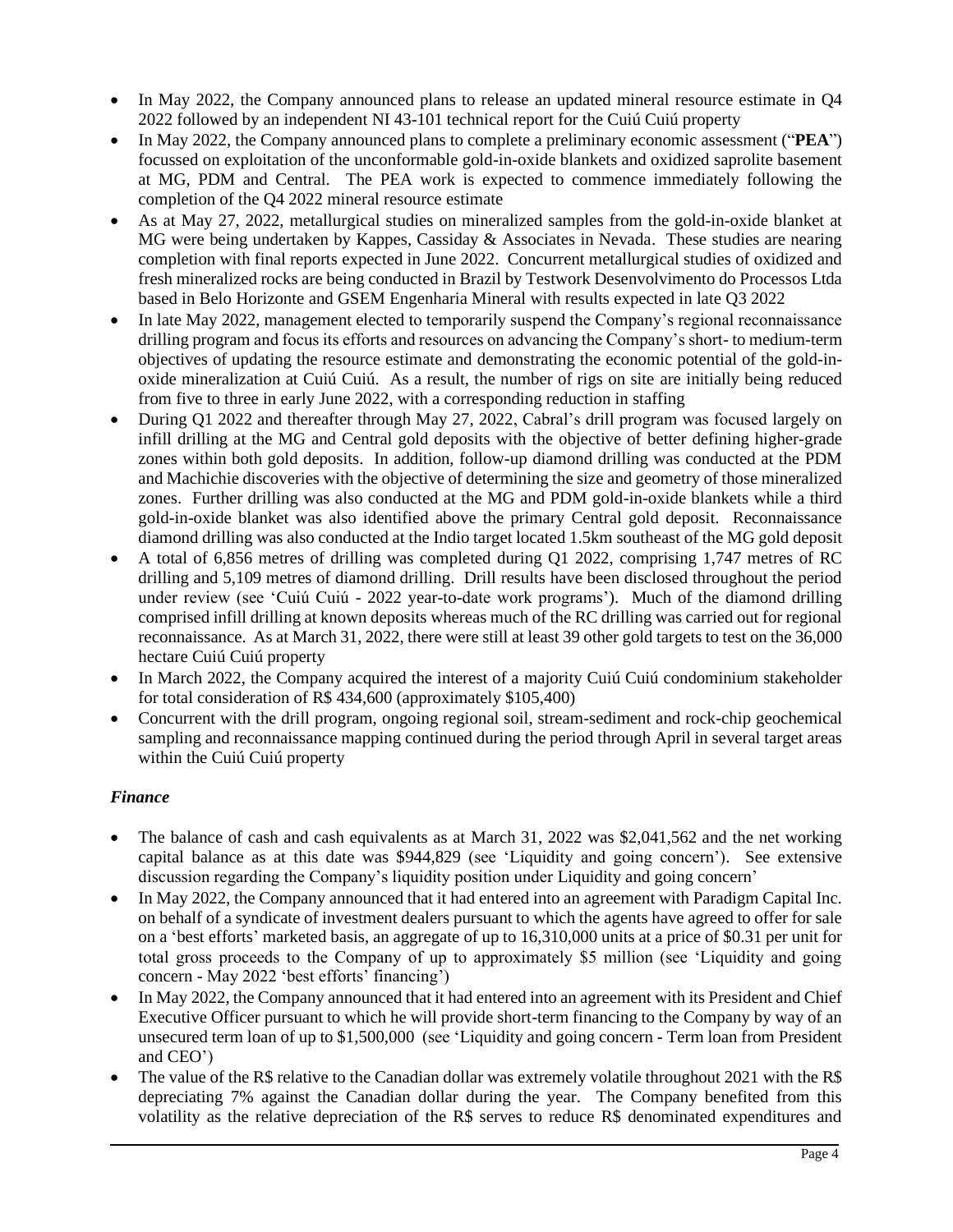- In May 2022, the Company announced plans to release an updated mineral resource estimate in Q4 2022 followed by an independent NI 43-101 technical report for the Cuiú Cuiú property
- In May 2022, the Company announced plans to complete a preliminary economic assessment ("**PEA**") focussed on exploitation of the unconformable gold-in-oxide blankets and oxidized saprolite basement at MG, PDM and Central. The PEA work is expected to commence immediately following the completion of the Q4 2022 mineral resource estimate
- As at May 27, 2022, metallurgical studies on mineralized samples from the gold-in-oxide blanket at MG were being undertaken by Kappes, Cassiday & Associates in Nevada. These studies are nearing completion with final reports expected in June 2022. Concurrent metallurgical studies of oxidized and fresh mineralized rocks are being conducted in Brazil by Testwork Desenvolvimento do Processos Ltda based in Belo Horizonte and GSEM Engenharia Mineral with results expected in late Q3 2022
- In late May 2022, management elected to temporarily suspend the Company's regional reconnaissance drilling program and focus its efforts and resources on advancing the Company's short- to medium-term objectives of updating the resource estimate and demonstrating the economic potential of the gold-inoxide mineralization at Cuiú Cuiú. As a result, the number of rigs on site are initially being reduced from five to three in early June 2022, with a corresponding reduction in staffing
- During Q1 2022 and thereafter through May 27, 2022, Cabral's drill program was focused largely on infill drilling at the MG and Central gold deposits with the objective of better defining higher-grade zones within both gold deposits. In addition, follow-up diamond drilling was conducted at the PDM and Machichie discoveries with the objective of determining the size and geometry of those mineralized zones. Further drilling was also conducted at the MG and PDM gold-in-oxide blankets while a third gold-in-oxide blanket was also identified above the primary Central gold deposit. Reconnaissance diamond drilling was also conducted at the Indio target located 1.5km southeast of the MG gold deposit
- A total of 6,856 metres of drilling was completed during Q1 2022, comprising 1,747 metres of RC drilling and 5,109 metres of diamond drilling. Drill results have been disclosed throughout the period under review (see 'Cuiú Cuiú - 2022 year-to-date work programs'). Much of the diamond drilling comprised infill drilling at known deposits whereas much of the RC drilling was carried out for regional reconnaissance. As at March 31, 2022, there were still at least 39 other gold targets to test on the 36,000 hectare Cuiú Cuiú property
- In March 2022, the Company acquired the interest of a majority Cuiú Cuiú condominium stakeholder for total consideration of R\$ 434,600 (approximately \$105,400)
- Concurrent with the drill program, ongoing regional soil, stream-sediment and rock-chip geochemical sampling and reconnaissance mapping continued during the period through April in several target areas within the Cuiú Cuiú property

### *Finance*

- The balance of cash and cash equivalents as at March 31, 2022 was \$2,041,562 and the net working capital balance as at this date was \$944,829 (see 'Liquidity and going concern'). See extensive discussion regarding the Company's liquidity position under Liquidity and going concern'
- In May 2022, the Company announced that it had entered into an agreement with Paradigm Capital Inc. on behalf of a syndicate of investment dealers pursuant to which the agents have agreed to offer for sale on a 'best efforts' marketed basis, an aggregate of up to 16,310,000 units at a price of \$0.31 per unit for total gross proceeds to the Company of up to approximately \$5 million (see 'Liquidity and going concern - May 2022 'best efforts' financing')
- In May 2022, the Company announced that it had entered into an agreement with its President and Chief Executive Officer pursuant to which he will provide short-term financing to the Company by way of an unsecured term loan of up to \$1,500,000 (see 'Liquidity and going concern - Term loan from President and CEO')
- The value of the R\$ relative to the Canadian dollar was extremely volatile throughout 2021 with the R\$ depreciating 7% against the Canadian dollar during the year. The Company benefited from this volatility as the relative depreciation of the R\$ serves to reduce R\$ denominated expenditures and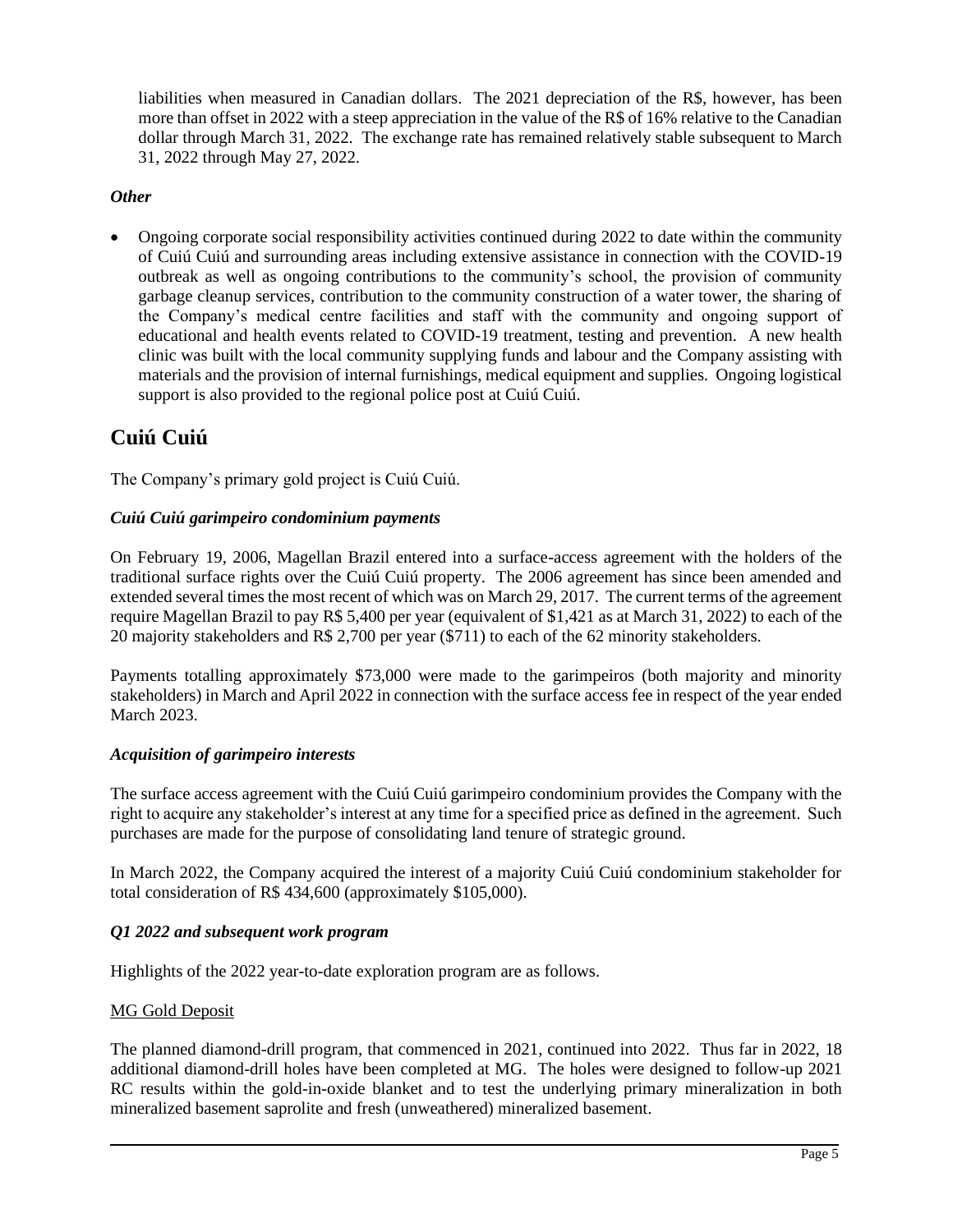liabilities when measured in Canadian dollars. The 2021 depreciation of the R\$, however, has been more than offset in 2022 with a steep appreciation in the value of the R\$ of 16% relative to the Canadian dollar through March 31, 2022. The exchange rate has remained relatively stable subsequent to March 31, 2022 through May 27, 2022.

#### *Other*

• Ongoing corporate social responsibility activities continued during 2022 to date within the community of Cuiú Cuiú and surrounding areas including extensive assistance in connection with the COVID-19 outbreak as well as ongoing contributions to the community's school, the provision of community garbage cleanup services, contribution to the community construction of a water tower, the sharing of the Company's medical centre facilities and staff with the community and ongoing support of educational and health events related to COVID-19 treatment, testing and prevention. A new health clinic was built with the local community supplying funds and labour and the Company assisting with materials and the provision of internal furnishings, medical equipment and supplies. Ongoing logistical support is also provided to the regional police post at Cuiú Cuiú.

# **Cuiú Cuiú**

The Company's primary gold project is Cuiú Cuiú.

#### *Cuiú Cuiú garimpeiro condominium payments*

On February 19, 2006, Magellan Brazil entered into a surface-access agreement with the holders of the traditional surface rights over the Cuiú Cuiú property. The 2006 agreement has since been amended and extended several times the most recent of which was on March 29, 2017. The current terms of the agreement require Magellan Brazil to pay R\$ 5,400 per year (equivalent of \$1,421 as at March 31, 2022) to each of the 20 majority stakeholders and R\$ 2,700 per year (\$711) to each of the 62 minority stakeholders.

Payments totalling approximately \$73,000 were made to the garimpeiros (both majority and minority stakeholders) in March and April 2022 in connection with the surface access fee in respect of the year ended March 2023.

#### *Acquisition of garimpeiro interests*

The surface access agreement with the Cuiú Cuiú garimpeiro condominium provides the Company with the right to acquire any stakeholder's interest at any time for a specified price as defined in the agreement. Such purchases are made for the purpose of consolidating land tenure of strategic ground.

In March 2022, the Company acquired the interest of a majority Cuiú Cuiú condominium stakeholder for total consideration of R\$ 434,600 (approximately \$105,000).

#### *Q1 2022 and subsequent work program*

Highlights of the 2022 year-to-date exploration program are as follows.

#### MG Gold Deposit

The planned diamond-drill program, that commenced in 2021, continued into 2022. Thus far in 2022, 18 additional diamond-drill holes have been completed at MG. The holes were designed to follow-up 2021 RC results within the gold-in-oxide blanket and to test the underlying primary mineralization in both mineralized basement saprolite and fresh (unweathered) mineralized basement.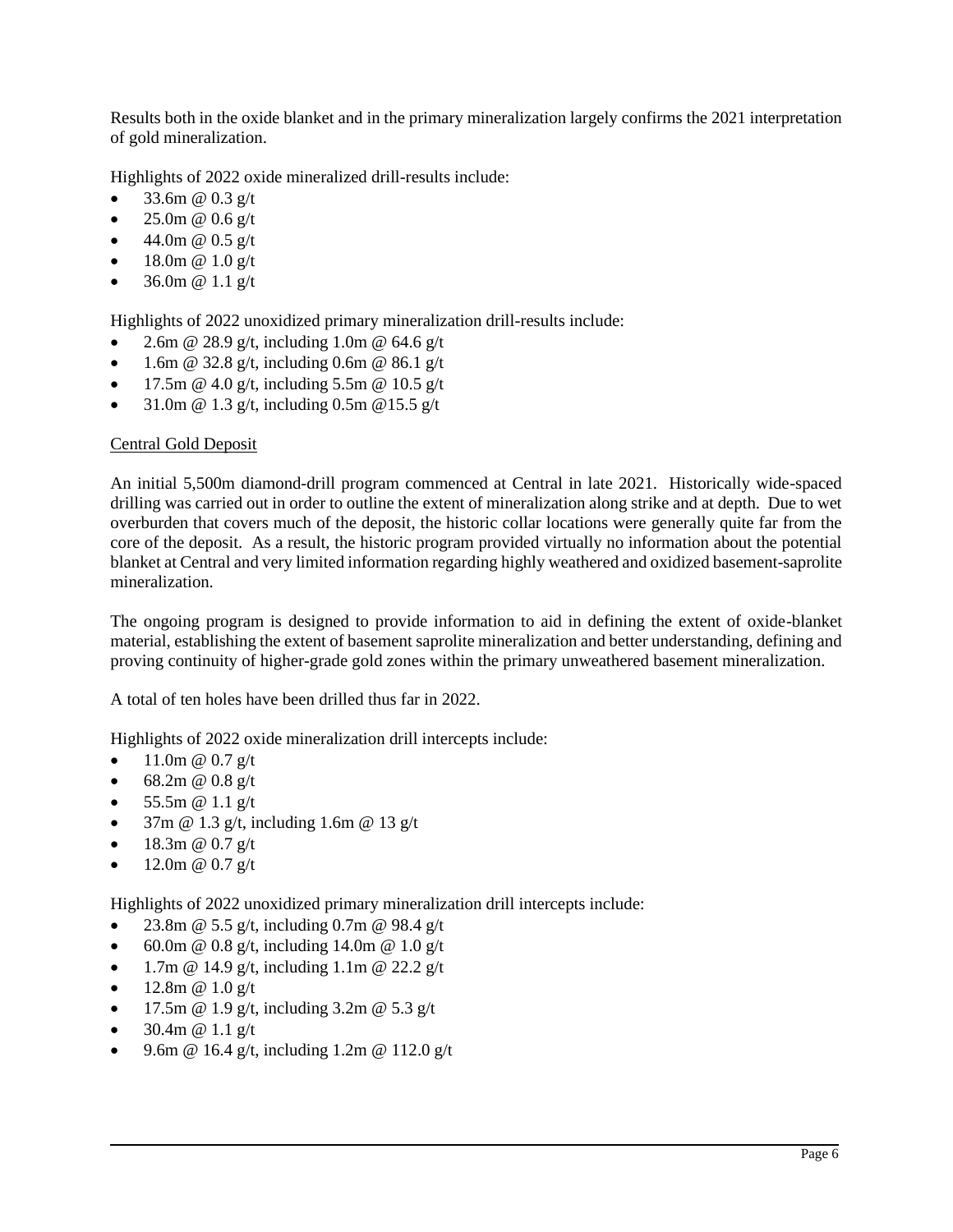Results both in the oxide blanket and in the primary mineralization largely confirms the 2021 interpretation of gold mineralization.

Highlights of 2022 oxide mineralized drill-results include:

- [33.6m @ 0.3 g/t](mailto:33.6m@0.3g/t)
- [25.0m @ 0.6 g/t](mailto:25m@0.6g/t)
- 44.0m @  $0.5$  g/t
- 18.0m @ 1.0 g/t
- [36.0m @ 1.1 g/t](mailto:36m@1.1g/t)

Highlights of 2022 unoxidized primary mineralization drill-results include:

- [2.6m @ 28.9 g/t,](mailto:2.6m@28.9g/t) including [1.0m @ 64.6 g/t](mailto:1m@64.6g/t)
- [1.6m @ 32.8 g/t,](mailto:1.6m@32.8g/t) including 0.6m @ 86.1 g/t
- [17.5m @ 4.0](mailto:17.5m@4g/t) g/t, including [5.5m @ 10.5 g/t](mailto:5.5m@105g/t)
- [31.0m @ 1.3 g/t,](mailto:31m@1.3g/t) including [0.5m @15.5 g/t](mailto:0.5m@15.5g/t)

#### Central Gold Deposit

An initial 5,500m diamond-drill program commenced at Central in late 2021. Historically wide-spaced drilling was carried out in order to outline the extent of mineralization along strike and at depth. Due to wet overburden that covers much of the deposit, the historic collar locations were generally quite far from the core of the deposit. As a result, the historic program provided virtually no information about the potential blanket at Central and very limited information regarding highly weathered and oxidized basement-saprolite mineralization.

The ongoing program is designed to provide information to aid in defining the extent of oxide-blanket material, establishing the extent of basement saprolite mineralization and better understanding, defining and proving continuity of higher-grade gold zones within the primary unweathered basement mineralization.

A total of ten holes have been drilled thus far in 2022.

Highlights of 2022 oxide mineralization drill intercepts include:

- 11.0m @  $0.7 \frac{\text{g}}{\text{t}}$
- 68.2m @  $0.8 \text{ g/t}$
- [55.5m @ 1.1 g/t](mailto:55.5m@1.1g/t)
- [37m @ 1.3 g/t,](mailto:37m@1.3g/t) including [1.6m @ 13 g/t](mailto:1.6m@13g/t)
- [18.3m @ 0.7 g/t](mailto:18.3m@0.7g/t)
- $12.0m \ @ \ 0.7 g/t$

Highlights of 2022 unoxidized primary mineralization drill intercepts include:

- [23.8m @ 5.5 g/t,](mailto:23.8m@5.5g/t) including 0.7m @ 98.4 g/t
- [60.0m @ 0.8 g/t,](mailto:60m@0.8g/t) including [14.0m @ 1.0 g/t](mailto:14.0m@1.0g/t)
- [1.7m @ 14.9 g/t,](mailto:1.7m@14.9g/t) including  $1.1m$  @ 22.2 g/t
- 12.8m  $@ 1.0 g/t$
- [17.5m @ 1.9 g/t,](mailto:17.5m@1.9g/t) including  $3.2m$  @  $5.3$  g/t
- $30.4m \ @ \ 1.1 g/t$
- [9.6m @ 16.4 g/t,](mailto:9.6m@16.4g/t) including 1.2m @ 112.0 g/t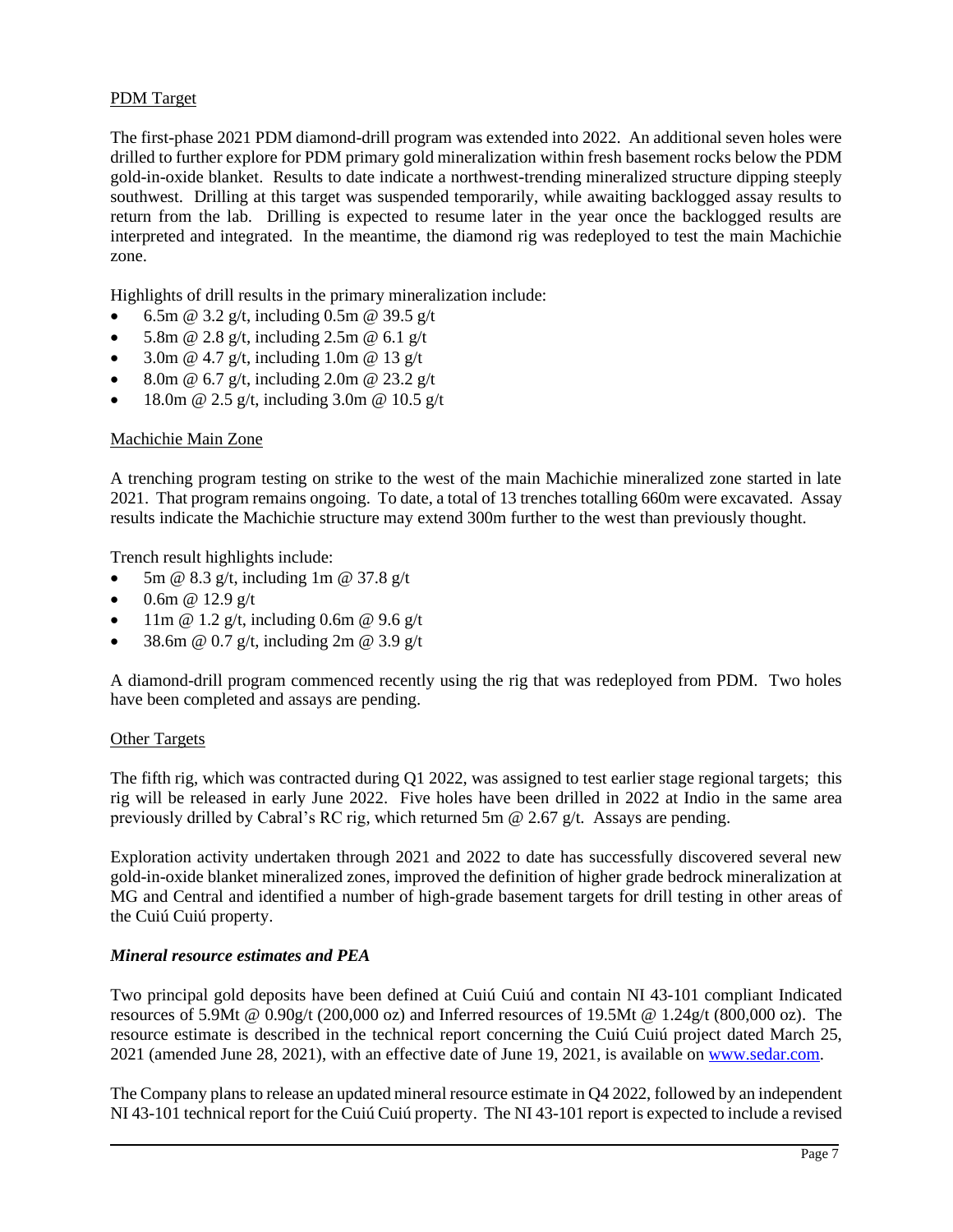#### PDM Target

The first-phase 2021 PDM diamond-drill program was extended into 2022. An additional seven holes were drilled to further explore for PDM primary gold mineralization within fresh basement rocks below the PDM gold-in-oxide blanket. Results to date indicate a northwest-trending mineralized structure dipping steeply southwest. Drilling at this target was suspended temporarily, while awaiting backlogged assay results to return from the lab. Drilling is expected to resume later in the year once the backlogged results are interpreted and integrated. In the meantime, the diamond rig was redeployed to test the main Machichie zone.

Highlights of drill results in the primary mineralization include:

- [6.5m @ 3.2 g/t,](mailto:6.5m@3.2g/t) including [0.5m @ 39.5 g/t](mailto:0.5m@39.5g/t)
- [5.8m @ 2.8 g/t,](mailto:5.8m@2.8g/t) including [2.5m @ 6.1 g/t](mailto:2.5m@6.1g/t)
- [3.0m @ 4.7 g/t,](mailto:3m@4.7g/t) including 1.0m @ 13 g/t
- [8.0m @ 6.7 g/t,](mailto:8m@6.7g/t) including 2.0m @ 23.2 g/t
- 18.0m @ 2.5 g/t, including 3.0m @ 10.5 g/t

#### Machichie Main Zone

A trenching program testing on strike to the west of the main Machichie mineralized zone started in late 2021. That program remains ongoing. To date, a total of 13 trenches totalling 660m were excavated. Assay results indicate the Machichie structure may extend 300m further to the west than previously thought.

Trench result highlights include:

- [5m @ 8.3 g/t,](mailto:5m@8.3g/t) including [1m @ 37.8 g/t](mailto:1m@37.8g/t)
- 0.6m @  $12.9 \text{ g/t}$
- [11m @ 1.2 g/t,](mailto:11m@1.2g/t) including [0.6m @ 9.6 g/t](mailto:0.6m@9.6g/t)
- [38.6m @ 0.7 g/t,](mailto:38.6m@0.7g/t) including [2m @ 3.9 g/t](mailto:2m@3.9g/t)

A diamond-drill program commenced recently using the rig that was redeployed from PDM. Two holes have been completed and assays are pending.

#### Other Targets

The fifth rig, which was contracted during Q1 2022, was assigned to test earlier stage regional targets; this rig will be released in early June 2022. Five holes have been drilled in 2022 at Indio in the same area previously drilled by Cabral's RC rig, which returned 5m  $\omega$  2.67 g/t. Assays are pending.

Exploration activity undertaken through 2021 and 2022 to date has successfully discovered several new gold-in-oxide blanket mineralized zones, improved the definition of higher grade bedrock mineralization at MG and Central and identified a number of high-grade basement targets for drill testing in other areas of the Cuiú Cuiú property.

#### *Mineral resource estimates and PEA*

Two principal gold deposits have been defined at Cuiú Cuiú and contain NI 43-101 compliant Indicated resources of 5.9Mt @ 0.90g/t (200,000 oz) and Inferred resources of 19.5Mt @ 1.24g/t (800,000 oz). The resource estimate is described in the technical report concerning the Cuiú Cuiú project dated March 25, 2021 (amended June 28, 2021), with an effective date of June 19, 2021, is available on [www.sedar.com.](http://www.sedar.com/)

The Company plans to release an updated mineral resource estimate in Q4 2022, followed by an independent NI 43-101 technical report for the Cuiú Cuiú property. The NI 43-101 report is expected to include a revised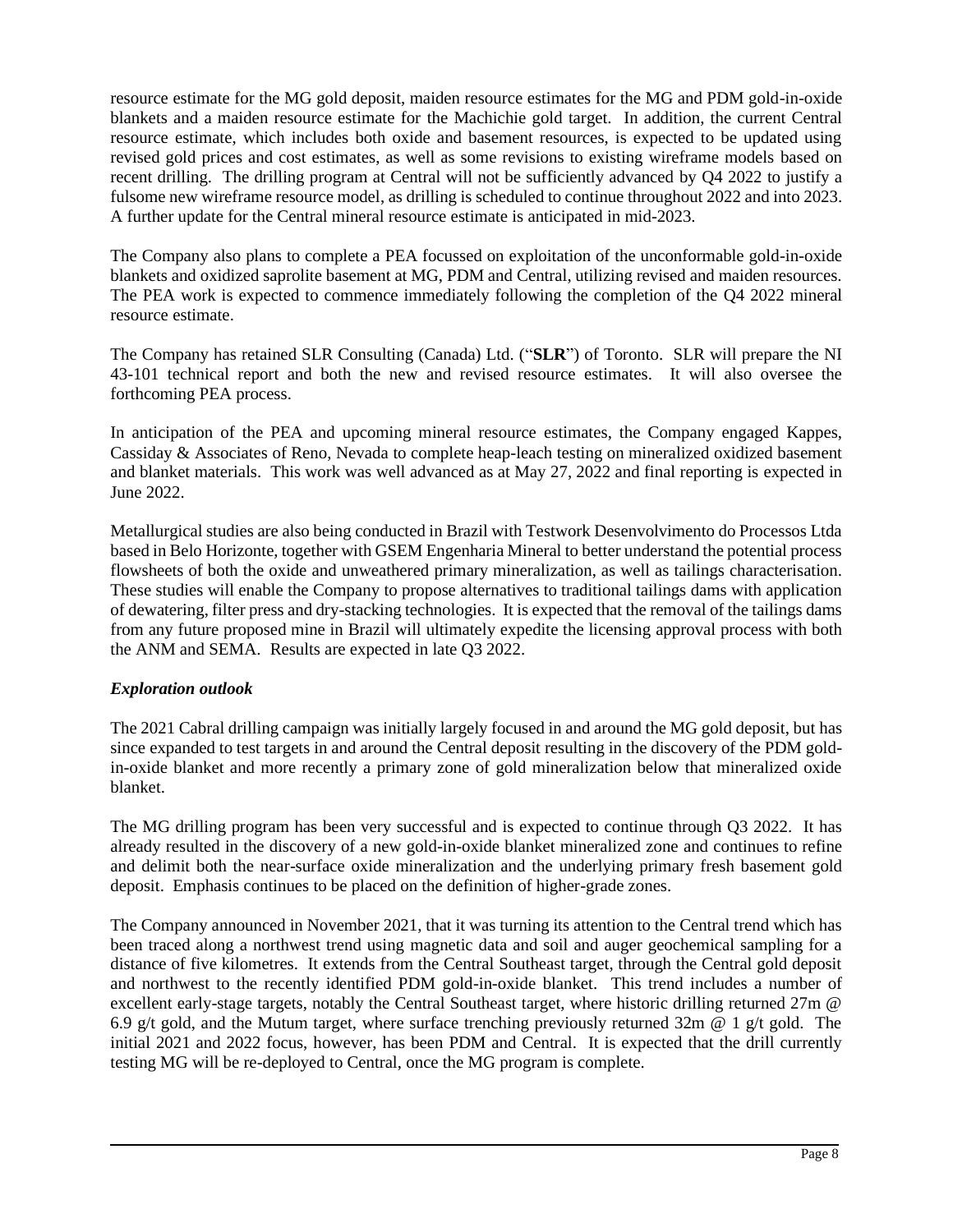resource estimate for the MG gold deposit, maiden resource estimates for the MG and PDM gold-in-oxide blankets and a maiden resource estimate for the Machichie gold target. In addition, the current Central resource estimate, which includes both oxide and basement resources, is expected to be updated using revised gold prices and cost estimates, as well as some revisions to existing wireframe models based on recent drilling. The drilling program at Central will not be sufficiently advanced by Q4 2022 to justify a fulsome new wireframe resource model, as drilling is scheduled to continue throughout 2022 and into 2023. A further update for the Central mineral resource estimate is anticipated in mid-2023.

The Company also plans to complete a PEA focussed on exploitation of the unconformable gold-in-oxide blankets and oxidized saprolite basement at MG, PDM and Central, utilizing revised and maiden resources. The PEA work is expected to commence immediately following the completion of the Q4 2022 mineral resource estimate.

The Company has retained SLR Consulting (Canada) Ltd. ("**SLR**") of Toronto. SLR will prepare the NI 43-101 technical report and both the new and revised resource estimates. It will also oversee the forthcoming PEA process.

In anticipation of the PEA and upcoming mineral resource estimates, the Company engaged Kappes, Cassiday & Associates of Reno, Nevada to complete heap-leach testing on mineralized oxidized basement and blanket materials. This work was well advanced as at May 27, 2022 and final reporting is expected in June 2022.

Metallurgical studies are also being conducted in Brazil with Testwork Desenvolvimento do Processos Ltda based in Belo Horizonte, together with GSEM Engenharia Mineral to better understand the potential process flowsheets of both the oxide and unweathered primary mineralization, as well as tailings characterisation. These studies will enable the Company to propose alternatives to traditional tailings dams with application of dewatering, filter press and dry-stacking technologies. It is expected that the removal of the tailings dams from any future proposed mine in Brazil will ultimately expedite the licensing approval process with both the ANM and SEMA. Results are expected in late Q3 2022.

#### *Exploration outlook*

The 2021 Cabral drilling campaign was initially largely focused in and around the MG gold deposit, but has since expanded to test targets in and around the Central deposit resulting in the discovery of the PDM goldin-oxide blanket and more recently a primary zone of gold mineralization below that mineralized oxide blanket.

The MG drilling program has been very successful and is expected to continue through Q3 2022. It has already resulted in the discovery of a new gold-in-oxide blanket mineralized zone and continues to refine and delimit both the near-surface oxide mineralization and the underlying primary fresh basement gold deposit. Emphasis continues to be placed on the definition of higher-grade zones.

The Company announced in November 2021, that it was turning its attention to the Central trend which has been traced along a northwest trend using magnetic data and soil and auger geochemical sampling for a distance of five kilometres. It extends from the Central Southeast target, through the Central gold deposit and northwest to the recently identified PDM gold-in-oxide blanket. This trend includes a number of excellent early-stage targets, notably the Central Southeast target, where historic drilling returned 27m @ 6.9 g/t gold, and the Mutum target, where surface trenching previously returned 32m  $\omega$  1 g/t gold. The initial 2021 and 2022 focus, however, has been PDM and Central. It is expected that the drill currently testing MG will be re-deployed to Central, once the MG program is complete.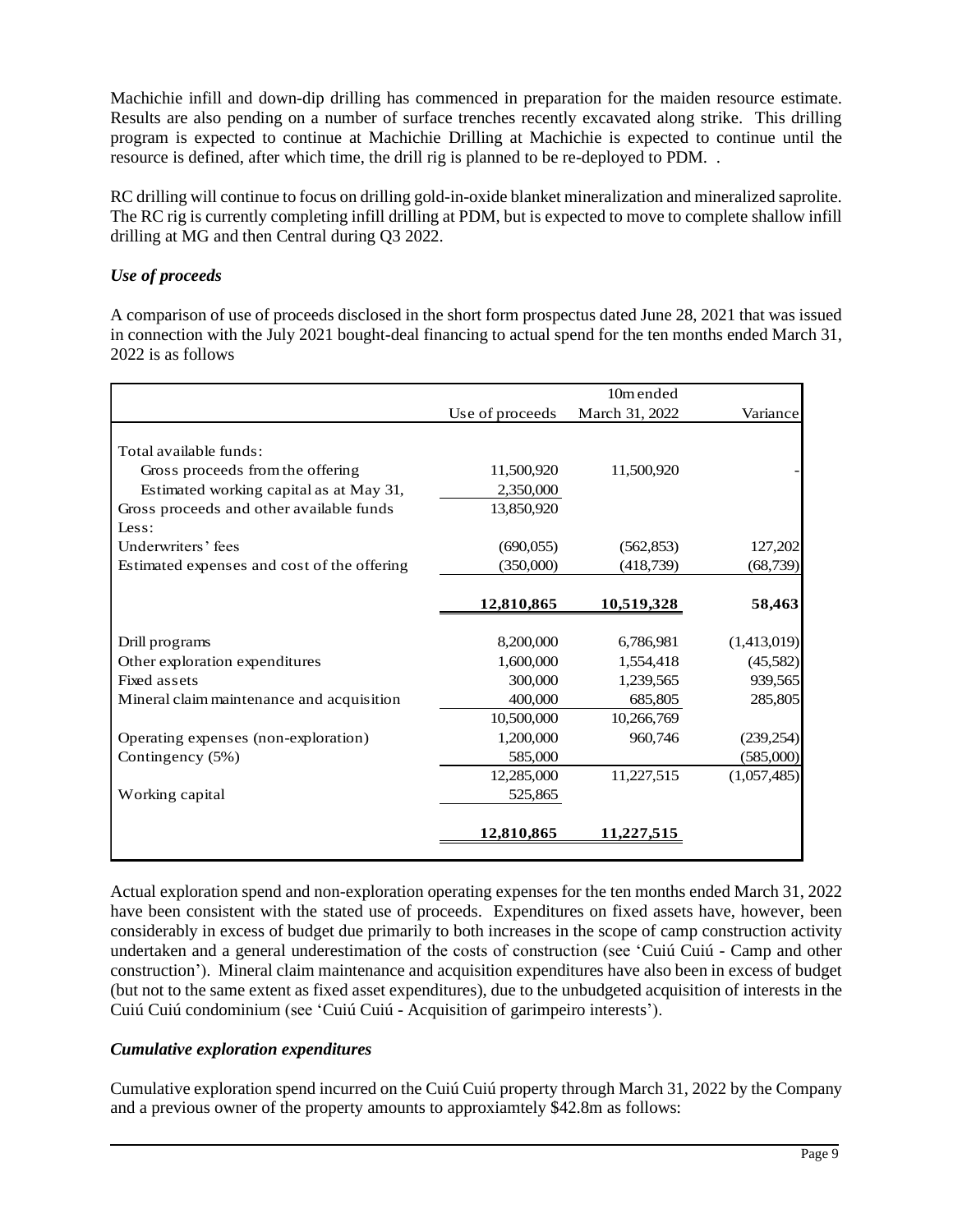Machichie infill and down-dip drilling has commenced in preparation for the maiden resource estimate. Results are also pending on a number of surface trenches recently excavated along strike. This drilling program is expected to continue at Machichie Drilling at Machichie is expected to continue until the resource is defined, after which time, the drill rig is planned to be re-deployed to PDM. .

RC drilling will continue to focus on drilling gold-in-oxide blanket mineralization and mineralized saprolite. The RC rig is currently completing infill drilling at PDM, but is expected to move to complete shallow infill drilling at MG and then Central during Q3 2022.

#### *Use of proceeds*

A comparison of use of proceeds disclosed in the short form prospectus dated June 28, 2021 that was issued in connection with the July 2021 bought-deal financing to actual spend for the ten months ended March 31, 2022 is as follows

|                                             |                 | 10m ended      |             |
|---------------------------------------------|-----------------|----------------|-------------|
|                                             | Use of proceeds | March 31, 2022 | Variance    |
| Total available funds:                      |                 |                |             |
| Gross proceeds from the offering            | 11,500,920      | 11,500,920     |             |
| Estimated working capital as at May 31,     | 2,350,000       |                |             |
| Gross proceeds and other available funds    | 13,850,920      |                |             |
| Less:                                       |                 |                |             |
| Underwriters' fees                          | (690, 055)      | (562, 853)     | 127,202     |
| Estimated expenses and cost of the offering | (350,000)       | (418, 739)     | (68, 739)   |
|                                             |                 |                |             |
|                                             | 12,810,865      | 10,519,328     | 58,463      |
|                                             |                 |                |             |
| Drill programs                              | 8,200,000       | 6,786,981      | (1,413,019) |
| Other exploration expenditures              | 1,600,000       | 1,554,418      | (45,582)    |
| Fixed assets                                | 300,000         | 1,239,565      | 939,565     |
| Mineral claim maintenance and acquisition   | 400,000         | 685,805        | 285,805     |
|                                             | 10,500,000      | 10,266,769     |             |
| Operating expenses (non-exploration)        | 1,200,000       | 960,746        | (239, 254)  |
| Contingency (5%)                            | 585,000         |                | (585,000)   |
|                                             | 12,285,000      | 11,227,515     | (1,057,485) |
| Working capital                             | 525,865         |                |             |
|                                             | 12,810,865      | 11,227,515     |             |
|                                             |                 |                |             |

Actual exploration spend and non-exploration operating expenses for the ten months ended March 31, 2022 have been consistent with the stated use of proceeds. Expenditures on fixed assets have, however, been considerably in excess of budget due primarily to both increases in the scope of camp construction activity undertaken and a general underestimation of the costs of construction (see 'Cuiú Cuiú - Camp and other construction'). Mineral claim maintenance and acquisition expenditures have also been in excess of budget (but not to the same extent as fixed asset expenditures), due to the unbudgeted acquisition of interests in the Cuiú Cuiú condominium (see 'Cuiú Cuiú - Acquisition of garimpeiro interests').

#### *Cumulative exploration expenditures*

Cumulative exploration spend incurred on the Cuiú Cuiú property through March 31, 2022 by the Company and a previous owner of the property amounts to approxiamtely \$42.8m as follows: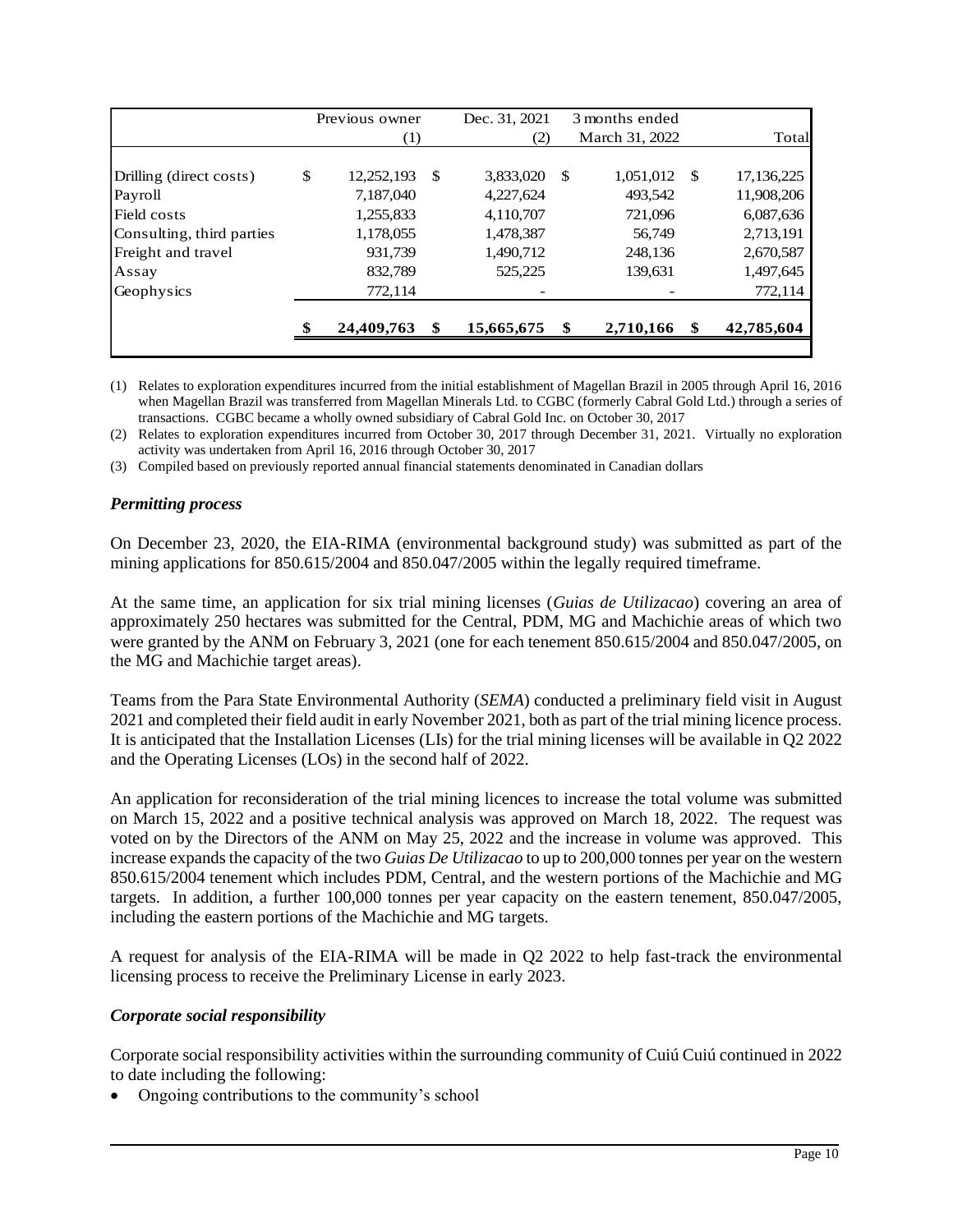|     |                  |                              | Dec. 31, 2021 |           | 3 months ended |           |              |  |
|-----|------------------|------------------------------|---------------|-----------|----------------|-----------|--------------|--|
|     | $\left(1\right)$ |                              | (2)           |           | March 31, 2022 |           | Total        |  |
|     |                  |                              |               |           |                |           |              |  |
|     |                  | -S                           |               | \$        |                |           | 17, 136, 225 |  |
|     | 7,187,040        |                              | 4,227,624     |           | 493,542        |           | 11,908,206   |  |
|     | 1,255,833        |                              | 4,110,707     |           | 721,096        |           | 6,087,636    |  |
|     | 1,178,055        |                              | 1,478,387     |           | 56,749         |           | 2,713,191    |  |
|     | 931,739          |                              | 1,490,712     |           | 248,136        |           | 2,670,587    |  |
|     | 832,789          |                              | 525,225       |           | 139,631        |           | 1,497,645    |  |
|     | 772,114          |                              |               |           |                |           | 772,114      |  |
| -\$ | 24,409,763       | -\$                          | 15,665,675    | \$        | 2,710,166      | \$        | 42,785,604   |  |
|     | \$               | Previous owner<br>12,252,193 |               | 3,833,020 |                | 1,051,012 | - \$         |  |

(1) Relates to exploration expenditures incurred from the initial establishment of Magellan Brazil in 2005 through April 16, 2016 when Magellan Brazil was transferred from Magellan Minerals Ltd. to CGBC (formerly Cabral Gold Ltd.) through a series of transactions. CGBC became a wholly owned subsidiary of Cabral Gold Inc. on October 30, 2017

(2) Relates to exploration expenditures incurred from October 30, 2017 through December 31, 2021. Virtually no exploration activity was undertaken from April 16, 2016 through October 30, 2017

(3) Compiled based on previously reported annual financial statements denominated in Canadian dollars

#### *Permitting process*

On December 23, 2020, the EIA-RIMA (environmental background study) was submitted as part of the mining applications for 850.615/2004 and 850.047/2005 within the legally required timeframe.

At the same time, an application for six trial mining licenses (*Guias de Utilizacao*) covering an area of approximately 250 hectares was submitted for the Central, PDM, MG and Machichie areas of which two were granted by the ANM on February 3, 2021 (one for each tenement 850.615/2004 and 850.047/2005, on the MG and Machichie target areas).

Teams from the Para State Environmental Authority (*SEMA*) conducted a preliminary field visit in August 2021 and completed their field audit in early November 2021, both as part of the trial mining licence process. It is anticipated that the Installation Licenses (LIs) for the trial mining licenses will be available in Q2 2022 and the Operating Licenses (LOs) in the second half of 2022.

An application for reconsideration of the trial mining licences to increase the total volume was submitted on March 15, 2022 and a positive technical analysis was approved on March 18, 2022. The request was voted on by the Directors of the ANM on May 25, 2022 and the increase in volume was approved. This increase expands the capacity of the two *Guias De Utilizacao* to up to 200,000 tonnes per year on the western 850.615/2004 tenement which includes PDM, Central, and the western portions of the Machichie and MG targets. In addition, a further 100,000 tonnes per year capacity on the eastern tenement, 850.047/2005, including the eastern portions of the Machichie and MG targets.

A request for analysis of the EIA-RIMA will be made in Q2 2022 to help fast-track the environmental licensing process to receive the Preliminary License in early 2023.

#### *Corporate social responsibility*

Corporate social responsibility activities within the surrounding community of Cuiú Cuiú continued in 2022 to date including the following:

• Ongoing contributions to the community's school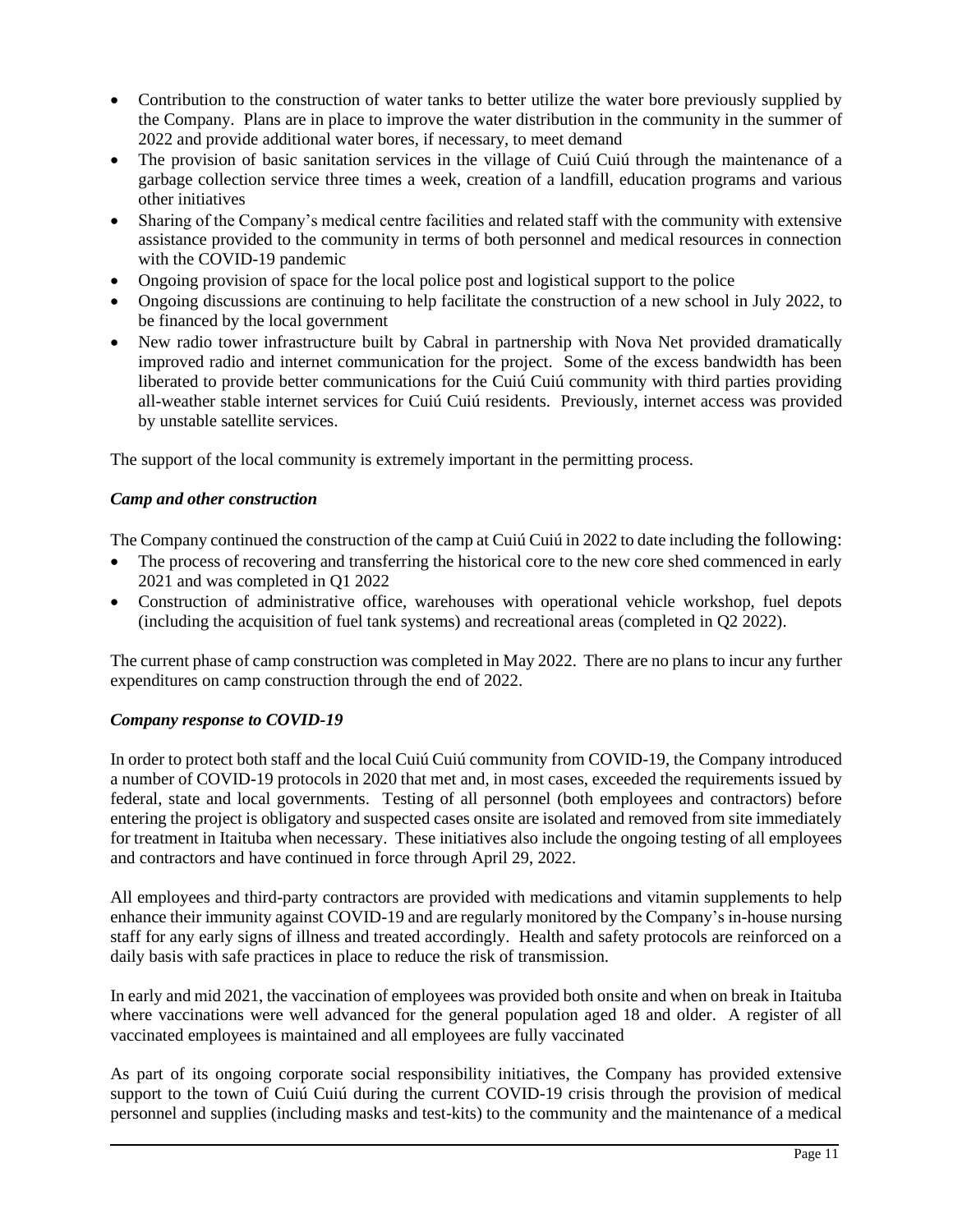- Contribution to the construction of water tanks to better utilize the water bore previously supplied by the Company. Plans are in place to improve the water distribution in the community in the summer of 2022 and provide additional water bores, if necessary, to meet demand
- The provision of basic sanitation services in the village of Cuiú Cuiú through the maintenance of a garbage collection service three times a week, creation of a landfill, education programs and various other initiatives
- Sharing of the Company's medical centre facilities and related staff with the community with extensive assistance provided to the community in terms of both personnel and medical resources in connection with the COVID-19 pandemic
- Ongoing provision of space for the local police post and logistical support to the police
- Ongoing discussions are continuing to help facilitate the construction of a new school in July 2022, to be financed by the local government
- New radio tower infrastructure built by Cabral in partnership with Nova Net provided dramatically improved radio and internet communication for the project. Some of the excess bandwidth has been liberated to provide better communications for the Cuiú Cuiú community with third parties providing all-weather stable internet services for Cuiú Cuiú residents. Previously, internet access was provided by unstable satellite services.

The support of the local community is extremely important in the permitting process.

#### *Camp and other construction*

The Company continued the construction of the camp at Cuiú Cuiú in 2022 to date including the following:

- The process of recovering and transferring the historical core to the new core shed commenced in early 2021 and was completed in Q1 2022
- Construction of administrative office, warehouses with operational vehicle workshop, fuel depots (including the acquisition of fuel tank systems) and recreational areas (completed in Q2 2022).

The current phase of camp construction was completed in May 2022. There are no plans to incur any further expenditures on camp construction through the end of 2022.

#### *Company response to COVID-19*

In order to protect both staff and the local Cuiú Cuiú community from COVID-19, the Company introduced a number of COVID-19 protocols in 2020 that met and, in most cases, exceeded the requirements issued by federal, state and local governments. Testing of all personnel (both employees and contractors) before entering the project is obligatory and suspected cases onsite are isolated and removed from site immediately for treatment in Itaituba when necessary. These initiatives also include the ongoing testing of all employees and contractors and have continued in force through April 29, 2022.

All employees and third-party contractors are provided with medications and vitamin supplements to help enhance their immunity against COVID-19 and are regularly monitored by the Company's in-house nursing staff for any early signs of illness and treated accordingly. Health and safety protocols are reinforced on a daily basis with safe practices in place to reduce the risk of transmission.

In early and mid 2021, the vaccination of employees was provided both onsite and when on break in Itaituba where vaccinations were well advanced for the general population aged 18 and older. A register of all vaccinated employees is maintained and all employees are fully vaccinated

As part of its ongoing corporate social responsibility initiatives, the Company has provided extensive support to the town of Cuiú Cuiú during the current COVID-19 crisis through the provision of medical personnel and supplies (including masks and test-kits) to the community and the maintenance of a medical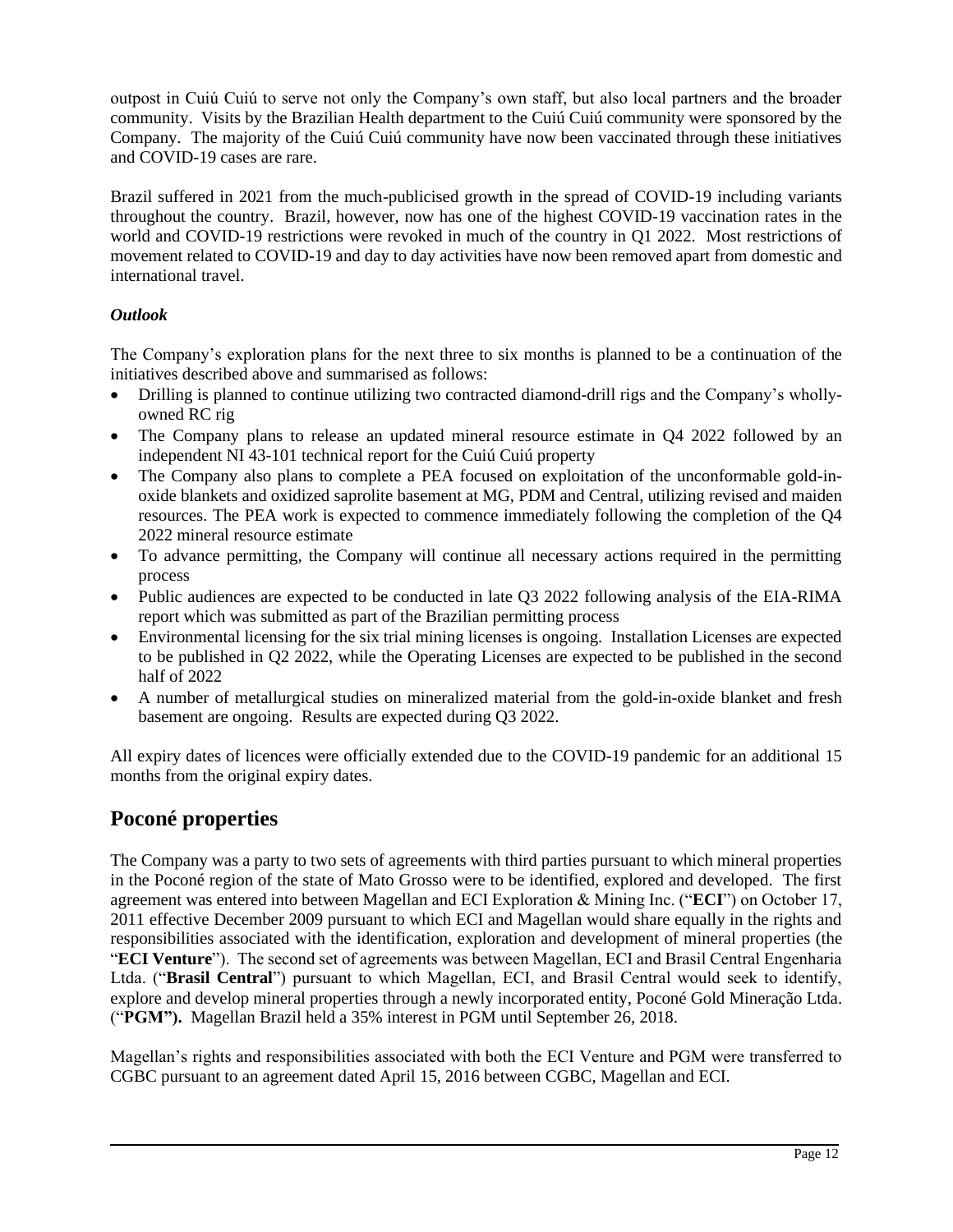outpost in Cuiú Cuiú to serve not only the Company's own staff, but also local partners and the broader community. Visits by the Brazilian Health department to the Cuiú Cuiú community were sponsored by the Company. The majority of the Cuiú Cuiú community have now been vaccinated through these initiatives and COVID-19 cases are rare.

Brazil suffered in 2021 from the much-publicised growth in the spread of COVID-19 including variants throughout the country. Brazil, however, now has one of the highest COVID-19 vaccination rates in the world and COVID-19 restrictions were revoked in much of the country in Q1 2022. Most restrictions of movement related to COVID-19 and day to day activities have now been removed apart from domestic and international travel.

#### *Outlook*

The Company's exploration plans for the next three to six months is planned to be a continuation of the initiatives described above and summarised as follows:

- Drilling is planned to continue utilizing two contracted diamond-drill rigs and the Company's whollyowned RC rig
- The Company plans to release an updated mineral resource estimate in Q4 2022 followed by an independent NI 43-101 technical report for the Cuiú Cuiú property
- The Company also plans to complete a PEA focused on exploitation of the unconformable gold-inoxide blankets and oxidized saprolite basement at MG, PDM and Central, utilizing revised and maiden resources. The PEA work is expected to commence immediately following the completion of the Q4 2022 mineral resource estimate
- To advance permitting, the Company will continue all necessary actions required in the permitting process
- Public audiences are expected to be conducted in late Q3 2022 following analysis of the EIA-RIMA report which was submitted as part of the Brazilian permitting process
- Environmental licensing for the six trial mining licenses is ongoing. Installation Licenses are expected to be published in Q2 2022, while the Operating Licenses are expected to be published in the second half of 2022
- A number of metallurgical studies on mineralized material from the gold-in-oxide blanket and fresh basement are ongoing. Results are expected during Q3 2022.

All expiry dates of licences were officially extended due to the COVID-19 pandemic for an additional 15 months from the original expiry dates.

# **Poconé properties**

The Company was a party to two sets of agreements with third parties pursuant to which mineral properties in the Poconé region of the state of Mato Grosso were to be identified, explored and developed. The first agreement was entered into between Magellan and ECI Exploration & Mining Inc. ("**ECI**") on October 17, 2011 effective December 2009 pursuant to which ECI and Magellan would share equally in the rights and responsibilities associated with the identification, exploration and development of mineral properties (the "**ECI Venture**"). The second set of agreements was between Magellan, ECI and Brasil Central Engenharia Ltda. ("**Brasil Central**") pursuant to which Magellan, ECI, and Brasil Central would seek to identify, explore and develop mineral properties through a newly incorporated entity, Poconé Gold Mineração Ltda. ("**PGM").** Magellan Brazil held a 35% interest in PGM until September 26, 2018.

Magellan's rights and responsibilities associated with both the ECI Venture and PGM were transferred to CGBC pursuant to an agreement dated April 15, 2016 between CGBC, Magellan and ECI.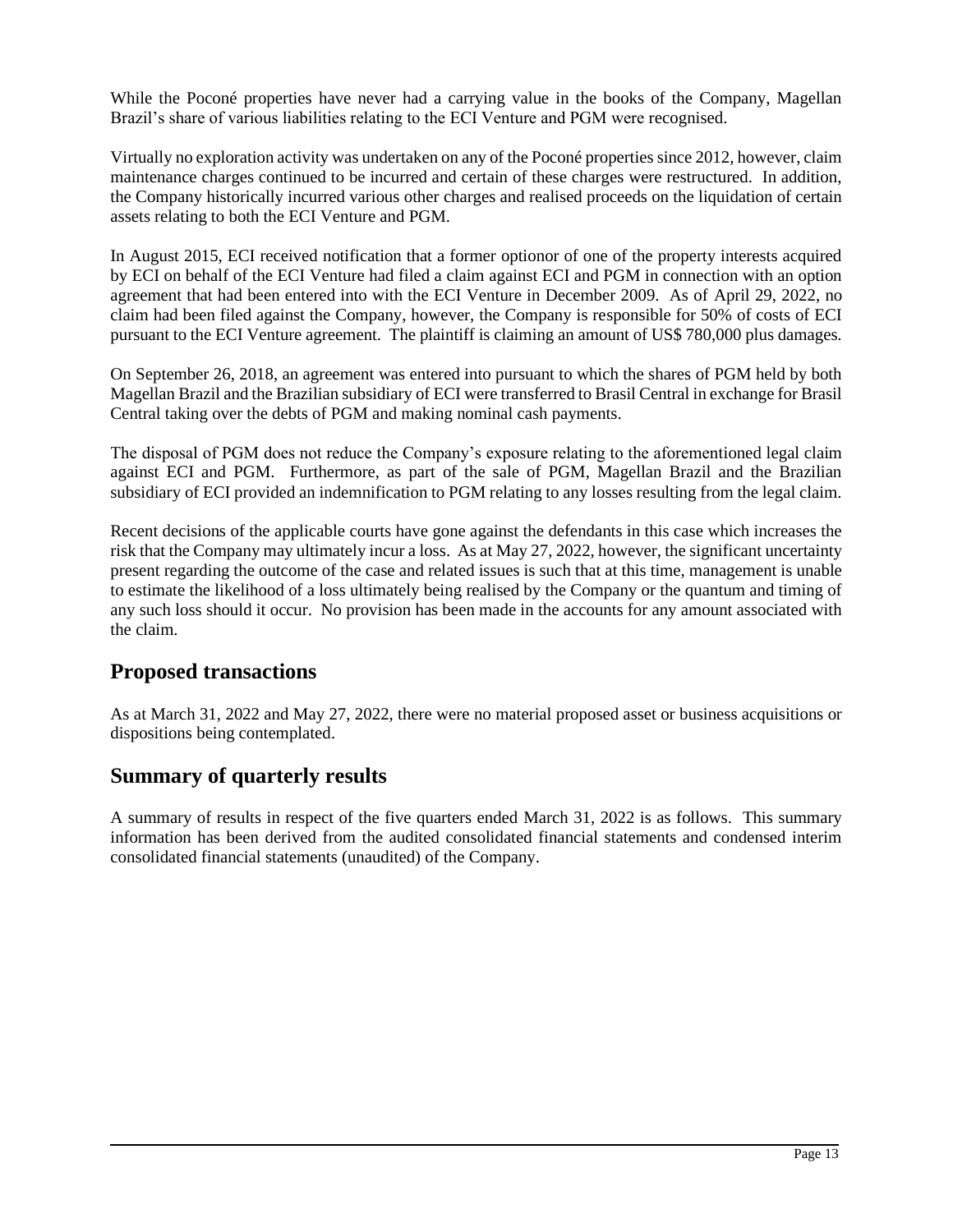While the Poconé properties have never had a carrying value in the books of the Company, Magellan Brazil's share of various liabilities relating to the ECI Venture and PGM were recognised.

Virtually no exploration activity was undertaken on any of the Poconé properties since 2012, however, claim maintenance charges continued to be incurred and certain of these charges were restructured. In addition, the Company historically incurred various other charges and realised proceeds on the liquidation of certain assets relating to both the ECI Venture and PGM.

In August 2015, ECI received notification that a former optionor of one of the property interests acquired by ECI on behalf of the ECI Venture had filed a claim against ECI and PGM in connection with an option agreement that had been entered into with the ECI Venture in December 2009. As of April 29, 2022, no claim had been filed against the Company, however, the Company is responsible for 50% of costs of ECI pursuant to the ECI Venture agreement. The plaintiff is claiming an amount of US\$ 780,000 plus damages.

On September 26, 2018, an agreement was entered into pursuant to which the shares of PGM held by both Magellan Brazil and the Brazilian subsidiary of ECI were transferred to Brasil Central in exchange for Brasil Central taking over the debts of PGM and making nominal cash payments.

The disposal of PGM does not reduce the Company's exposure relating to the aforementioned legal claim against ECI and PGM. Furthermore, as part of the sale of PGM, Magellan Brazil and the Brazilian subsidiary of ECI provided an indemnification to PGM relating to any losses resulting from the legal claim.

Recent decisions of the applicable courts have gone against the defendants in this case which increases the risk that the Company may ultimately incur a loss. As at May 27, 2022, however, the significant uncertainty present regarding the outcome of the case and related issues is such that at this time, management is unable to estimate the likelihood of a loss ultimately being realised by the Company or the quantum and timing of any such loss should it occur. No provision has been made in the accounts for any amount associated with the claim.

# **Proposed transactions**

As at March 31, 2022 and May 27, 2022, there were no material proposed asset or business acquisitions or dispositions being contemplated.

# **Summary of quarterly results**

A summary of results in respect of the five quarters ended March 31, 2022 is as follows. This summary information has been derived from the audited consolidated financial statements and condensed interim consolidated financial statements (unaudited) of the Company.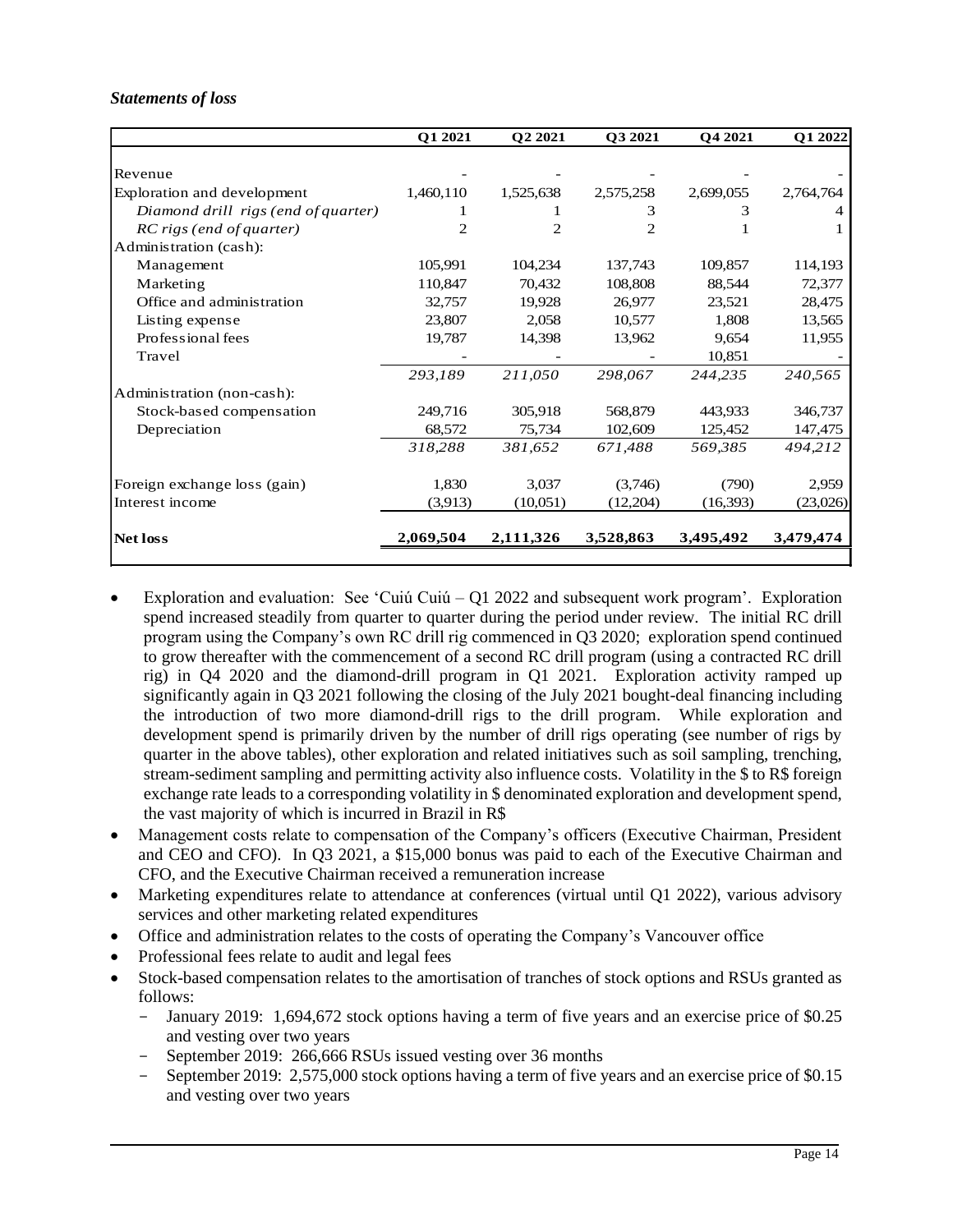#### *Statements of loss*

|                                     | Q1 2021        | Q2 2021        | Q3 2021   | O <sub>4</sub> 2021 | Q1 2022   |
|-------------------------------------|----------------|----------------|-----------|---------------------|-----------|
|                                     |                |                |           |                     |           |
| Revenue                             |                |                |           |                     |           |
| Exploration and development         | 1,460,110      | 1,525,638      | 2,575,258 | 2,699,055           | 2,764,764 |
| Diamond drill rigs (end of quarter) |                |                | 3         | 3                   |           |
| RC rigs (end of quarter)            | $\overline{c}$ | $\overline{c}$ | 2         |                     |           |
| Administration (cash):              |                |                |           |                     |           |
| Management                          | 105,991        | 104,234        | 137,743   | 109,857             | 114,193   |
| Marketing                           | 110,847        | 70,432         | 108,808   | 88,544              | 72,377    |
| Office and administration           | 32,757         | 19,928         | 26,977    | 23,521              | 28,475    |
| Listing expense                     | 23,807         | 2,058          | 10,577    | 1,808               | 13,565    |
| Professional fees                   | 19,787         | 14,398         | 13,962    | 9,654               | 11,955    |
| Travel                              |                |                |           | 10,851              |           |
|                                     | 293,189        | 211,050        | 298,067   | 244,235             | 240,565   |
| Administration (non-cash):          |                |                |           |                     |           |
| Stock-based compensation            | 249,716        | 305,918        | 568,879   | 443,933             | 346,737   |
| Depreciation                        | 68,572         | 75,734         | 102,609   | 125,452             | 147,475   |
|                                     | 318,288        | 381,652        | 671,488   | 569,385             | 494,212   |
| Foreign exchange loss (gain)        | 1,830          | 3,037          | (3,746)   | (790)               | 2,959     |
| Interest income                     | (3,913)        | (10,051)       | (12,204)  | (16, 393)           | (23,026)  |
| <b>Net loss</b>                     | 2,069,504      | 2,111,326      | 3,528,863 | 3,495,492           | 3,479,474 |
|                                     |                |                |           |                     |           |

- Exploration and evaluation: See 'Cuiú Cuiú Q1 2022 and subsequent work program'. Exploration spend increased steadily from quarter to quarter during the period under review. The initial RC drill program using the Company's own RC drill rig commenced in Q3 2020; exploration spend continued to grow thereafter with the commencement of a second RC drill program (using a contracted RC drill rig) in Q4 2020 and the diamond-drill program in Q1 2021. Exploration activity ramped up significantly again in Q3 2021 following the closing of the July 2021 bought-deal financing including the introduction of two more diamond-drill rigs to the drill program. While exploration and development spend is primarily driven by the number of drill rigs operating (see number of rigs by quarter in the above tables), other exploration and related initiatives such as soil sampling, trenching, stream-sediment sampling and permitting activity also influence costs. Volatility in the \$ to R\$ foreign exchange rate leads to a corresponding volatility in \$ denominated exploration and development spend, the vast majority of which is incurred in Brazil in R\$
- Management costs relate to compensation of the Company's officers (Executive Chairman, President and CEO and CFO). In Q3 2021, a \$15,000 bonus was paid to each of the Executive Chairman and CFO, and the Executive Chairman received a remuneration increase
- Marketing expenditures relate to attendance at conferences (virtual until Q1 2022), various advisory services and other marketing related expenditures
- Office and administration relates to the costs of operating the Company's Vancouver office
- Professional fees relate to audit and legal fees
- Stock-based compensation relates to the amortisation of tranches of stock options and RSUs granted as follows:
	- January 2019: 1,694,672 stock options having a term of five years and an exercise price of \$0.25 and vesting over two years
	- September 2019: 266,666 RSUs issued vesting over 36 months
	- September 2019: 2,575,000 stock options having a term of five years and an exercise price of \$0.15 and vesting over two years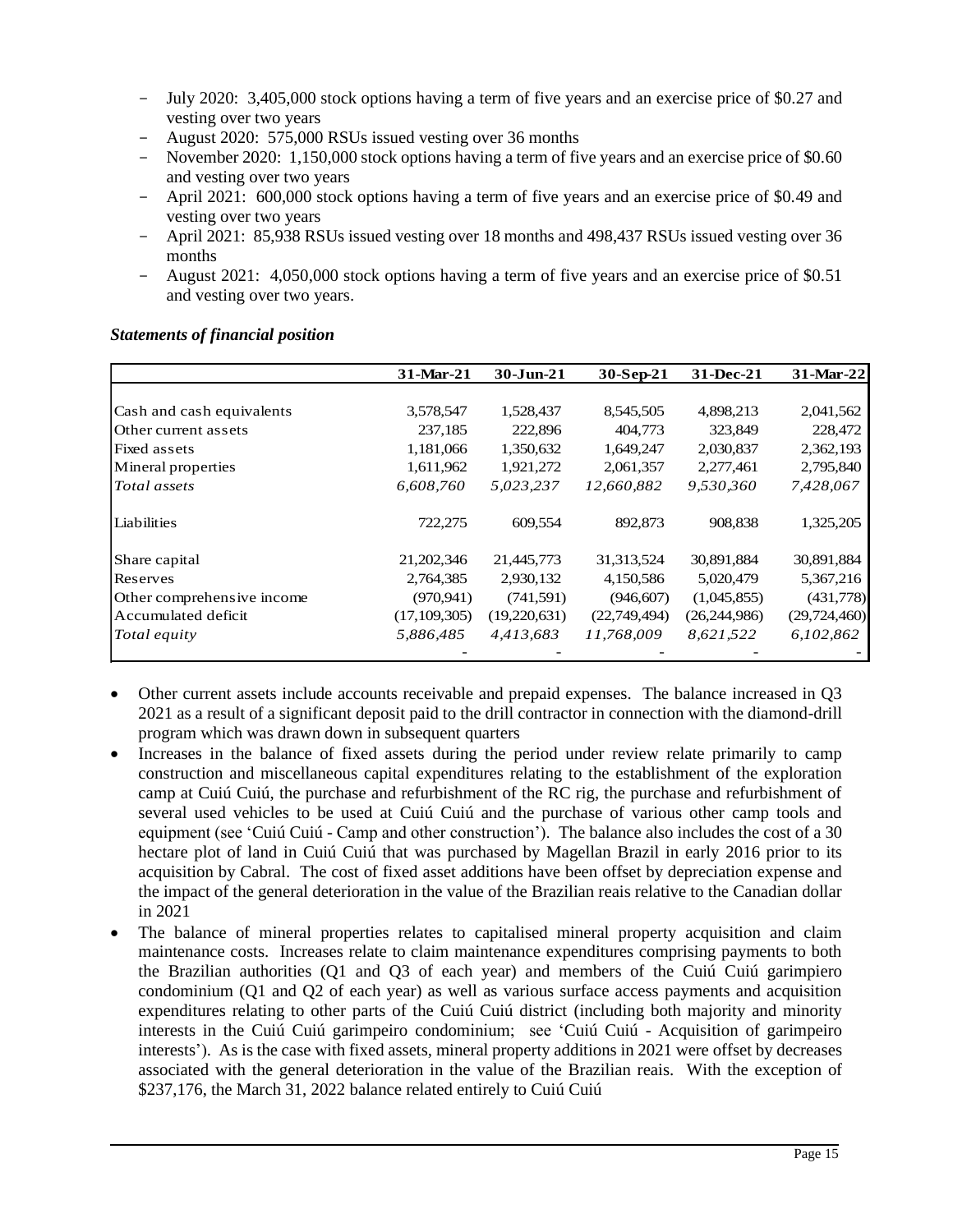- July 2020: 3,405,000 stock options having a term of five years and an exercise price of \$0.27 and vesting over two years
- August 2020: 575,000 RSUs issued vesting over 36 months
- November 2020: 1,150,000 stock options having a term of five years and an exercise price of \$0.60 and vesting over two years
- April 2021: 600,000 stock options having a term of five years and an exercise price of \$0.49 and vesting over two years
- April 2021: 85,938 RSUs issued vesting over 18 months and 498,437 RSUs issued vesting over 36 months
- August 2021: 4,050,000 stock options having a term of five years and an exercise price of \$0.51 and vesting over two years.

|                            | 31-Mar-21      | $30 - Jun-21$ | 30-Sep-21    | 31-Dec-21      | 31-Mar-22      |
|----------------------------|----------------|---------------|--------------|----------------|----------------|
|                            |                |               |              |                |                |
| Cash and cash equivalents  | 3,578,547      | 1,528,437     | 8,545,505    | 4,898,213      | 2,041,562      |
| Other current assets       | 237,185        | 222,896       | 404,773      | 323,849        | 228,472        |
| Fixed assets               | 1,181,066      | 1,350,632     | 1,649,247    | 2,030,837      | 2,362,193      |
| Mineral properties         | 1,611,962      | 1,921,272     | 2,061,357    | 2,277,461      | 2,795,840      |
| Total assets               | 6,608,760      | 5,023,237     | 12,660,882   | 9,530,360      | 7,428,067      |
| Liabilities                | 722,275        | 609,554       | 892,873      | 908,838        | 1,325,205      |
| Share capital              | 21, 202, 346   | 21,445,773    | 31, 313, 524 | 30,891,884     | 30,891,884     |
| Reserves                   | 2,764,385      | 2,930,132     | 4,150,586    | 5,020,479      | 5,367,216      |
| Other comprehensive income | (970, 941)     | (741, 591)    | (946, 607)   | (1,045,855)    | (431,778)      |
| Accumulated deficit        | (17, 109, 305) | (19,220,631)  | (22,749,494) | (26, 244, 986) | (29, 724, 460) |
| Total equity               | 5,886,485      | 4,413,683     | 11,768,009   | 8,621,522      | 6,102,862      |
|                            |                |               |              |                |                |

#### *Statements of financial position*

- Other current assets include accounts receivable and prepaid expenses. The balance increased in Q3 2021 as a result of a significant deposit paid to the drill contractor in connection with the diamond-drill program which was drawn down in subsequent quarters
- Increases in the balance of fixed assets during the period under review relate primarily to camp construction and miscellaneous capital expenditures relating to the establishment of the exploration camp at Cuiú Cuiú, the purchase and refurbishment of the RC rig, the purchase and refurbishment of several used vehicles to be used at Cuiú Cuiú and the purchase of various other camp tools and equipment (see 'Cuiú Cuiú - Camp and other construction'). The balance also includes the cost of a 30 hectare plot of land in Cuiú Cuiú that was purchased by Magellan Brazil in early 2016 prior to its acquisition by Cabral. The cost of fixed asset additions have been offset by depreciation expense and the impact of the general deterioration in the value of the Brazilian reais relative to the Canadian dollar in 2021
- The balance of mineral properties relates to capitalised mineral property acquisition and claim maintenance costs. Increases relate to claim maintenance expenditures comprising payments to both the Brazilian authorities (Q1 and Q3 of each year) and members of the Cuiú Cuiú garimpiero condominium (Q1 and Q2 of each year) as well as various surface access payments and acquisition expenditures relating to other parts of the Cuiú Cuiú district (including both majority and minority interests in the Cuiú Cuiú garimpeiro condominium; see 'Cuiú Cuiú - Acquisition of garimpeiro interests'). As is the case with fixed assets, mineral property additions in 2021 were offset by decreases associated with the general deterioration in the value of the Brazilian reais. With the exception of \$237,176, the March 31, 2022 balance related entirely to Cuiú Cuiú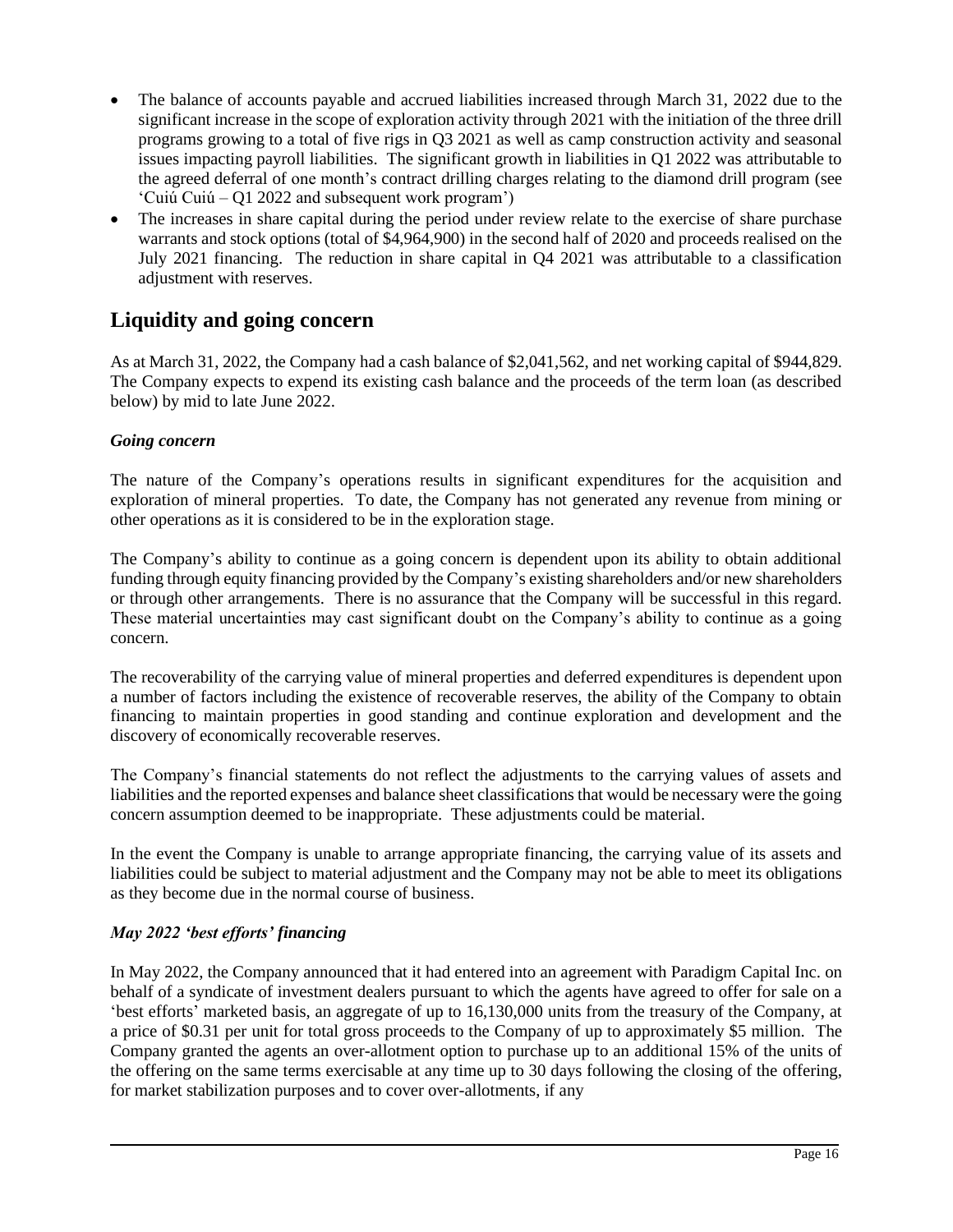- The balance of accounts payable and accrued liabilities increased through March 31, 2022 due to the significant increase in the scope of exploration activity through 2021 with the initiation of the three drill programs growing to a total of five rigs in Q3 2021 as well as camp construction activity and seasonal issues impacting payroll liabilities. The significant growth in liabilities in Q1 2022 was attributable to the agreed deferral of one month's contract drilling charges relating to the diamond drill program (see 'Cuiú Cuiú – Q1 2022 and subsequent work program')
- The increases in share capital during the period under review relate to the exercise of share purchase warrants and stock options (total of \$4,964,900) in the second half of 2020 and proceeds realised on the July 2021 financing. The reduction in share capital in Q4 2021 was attributable to a classification adjustment with reserves.

# **Liquidity and going concern**

As at March 31, 2022, the Company had a cash balance of \$2,041,562, and net working capital of \$944,829. The Company expects to expend its existing cash balance and the proceeds of the term loan (as described below) by mid to late June 2022.

#### *Going concern*

The nature of the Company's operations results in significant expenditures for the acquisition and exploration of mineral properties. To date, the Company has not generated any revenue from mining or other operations as it is considered to be in the exploration stage.

The Company's ability to continue as a going concern is dependent upon its ability to obtain additional funding through equity financing provided by the Company's existing shareholders and/or new shareholders or through other arrangements. There is no assurance that the Company will be successful in this regard. These material uncertainties may cast significant doubt on the Company's ability to continue as a going concern.

The recoverability of the carrying value of mineral properties and deferred expenditures is dependent upon a number of factors including the existence of recoverable reserves, the ability of the Company to obtain financing to maintain properties in good standing and continue exploration and development and the discovery of economically recoverable reserves.

The Company's financial statements do not reflect the adjustments to the carrying values of assets and liabilities and the reported expenses and balance sheet classifications that would be necessary were the going concern assumption deemed to be inappropriate. These adjustments could be material.

In the event the Company is unable to arrange appropriate financing, the carrying value of its assets and liabilities could be subject to material adjustment and the Company may not be able to meet its obligations as they become due in the normal course of business.

### *May 2022 'best efforts' financing*

In May 2022, the Company announced that it had entered into an agreement with Paradigm Capital Inc. on behalf of a syndicate of investment dealers pursuant to which the agents have agreed to offer for sale on a 'best efforts' marketed basis, an aggregate of up to 16,130,000 units from the treasury of the Company, at a price of \$0.31 per unit for total gross proceeds to the Company of up to approximately \$5 million. The Company granted the agents an over-allotment option to purchase up to an additional 15% of the units of the offering on the same terms exercisable at any time up to 30 days following the closing of the offering, for market stabilization purposes and to cover over-allotments, if any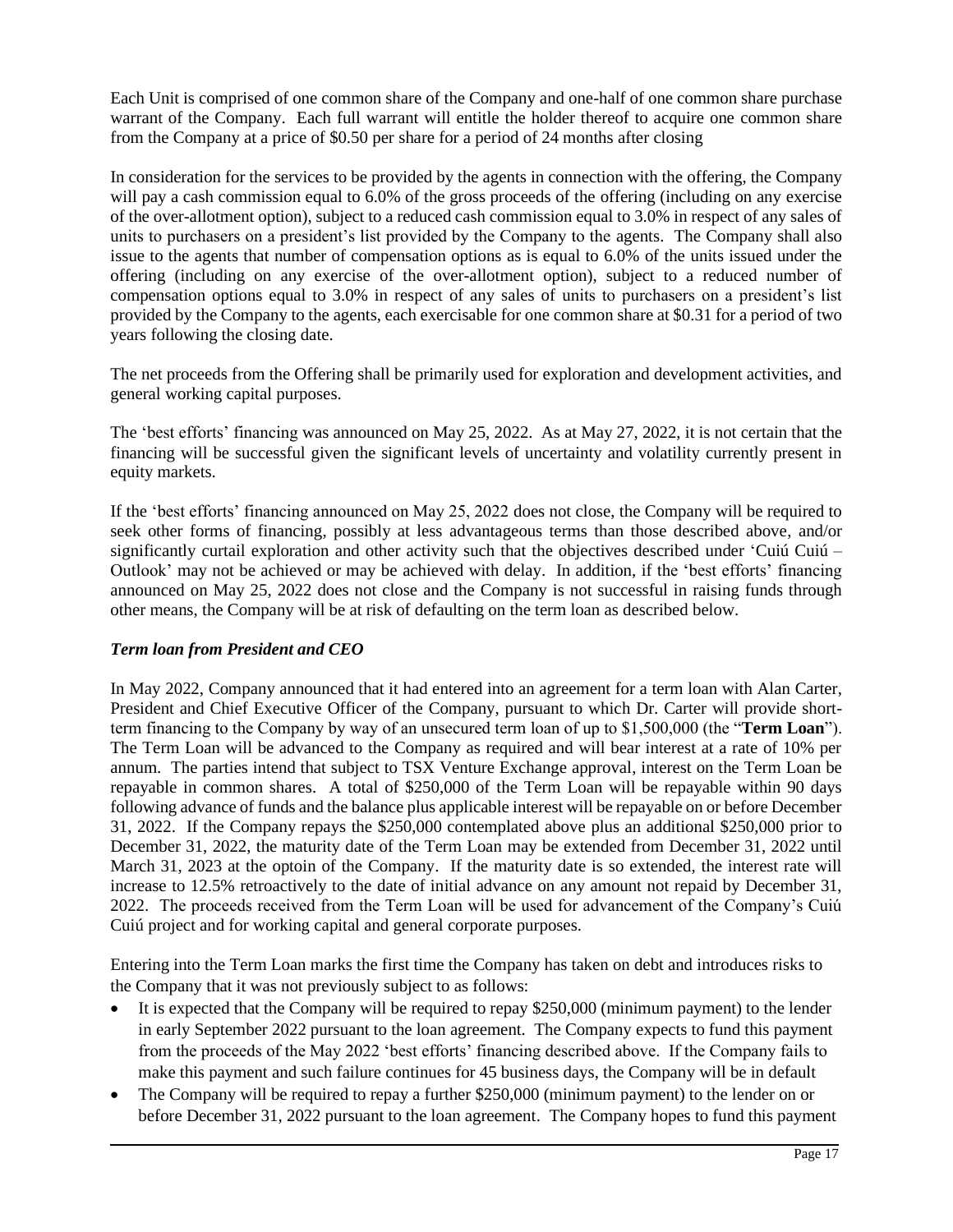Each Unit is comprised of one common share of the Company and one-half of one common share purchase warrant of the Company. Each full warrant will entitle the holder thereof to acquire one common share from the Company at a price of \$0.50 per share for a period of 24 months after closing

In consideration for the services to be provided by the agents in connection with the offering, the Company will pay a cash commission equal to 6.0% of the gross proceeds of the offering (including on any exercise of the over-allotment option), subject to a reduced cash commission equal to 3.0% in respect of any sales of units to purchasers on a president's list provided by the Company to the agents. The Company shall also issue to the agents that number of compensation options as is equal to 6.0% of the units issued under the offering (including on any exercise of the over-allotment option), subject to a reduced number of compensation options equal to 3.0% in respect of any sales of units to purchasers on a president's list provided by the Company to the agents, each exercisable for one common share at \$0.31 for a period of two years following the closing date.

The net proceeds from the Offering shall be primarily used for exploration and development activities, and general working capital purposes.

The 'best efforts' financing was announced on May 25, 2022. As at May 27, 2022, it is not certain that the financing will be successful given the significant levels of uncertainty and volatility currently present in equity markets.

If the 'best efforts' financing announced on May 25, 2022 does not close, the Company will be required to seek other forms of financing, possibly at less advantageous terms than those described above, and/or significantly curtail exploration and other activity such that the objectives described under 'Cuiú Cuiú – Outlook' may not be achieved or may be achieved with delay. In addition, if the 'best efforts' financing announced on May 25, 2022 does not close and the Company is not successful in raising funds through other means, the Company will be at risk of defaulting on the term loan as described below.

#### *Term loan from President and CEO*

In May 2022, Company announced that it had entered into an agreement for a term loan with Alan Carter, President and Chief Executive Officer of the Company, pursuant to which Dr. Carter will provide shortterm financing to the Company by way of an unsecured term loan of up to \$1,500,000 (the "**Term Loan**"). The Term Loan will be advanced to the Company as required and will bear interest at a rate of 10% per annum. The parties intend that subject to TSX Venture Exchange approval, interest on the Term Loan be repayable in common shares. A total of \$250,000 of the Term Loan will be repayable within 90 days following advance of funds and the balance plus applicable interest will be repayable on or before December 31, 2022. If the Company repays the \$250,000 contemplated above plus an additional \$250,000 prior to December 31, 2022, the maturity date of the Term Loan may be extended from December 31, 2022 until March 31, 2023 at the optoin of the Company. If the maturity date is so extended, the interest rate will increase to 12.5% retroactively to the date of initial advance on any amount not repaid by December 31, 2022. The proceeds received from the Term Loan will be used for advancement of the Company's Cuiú Cuiú project and for working capital and general corporate purposes.

Entering into the Term Loan marks the first time the Company has taken on debt and introduces risks to the Company that it was not previously subject to as follows:

- It is expected that the Company will be required to repay \$250,000 (minimum payment) to the lender in early September 2022 pursuant to the loan agreement. The Company expects to fund this payment from the proceeds of the May 2022 'best efforts' financing described above. If the Company fails to make this payment and such failure continues for 45 business days, the Company will be in default
- The Company will be required to repay a further \$250,000 (minimum payment) to the lender on or before December 31, 2022 pursuant to the loan agreement. The Company hopes to fund this payment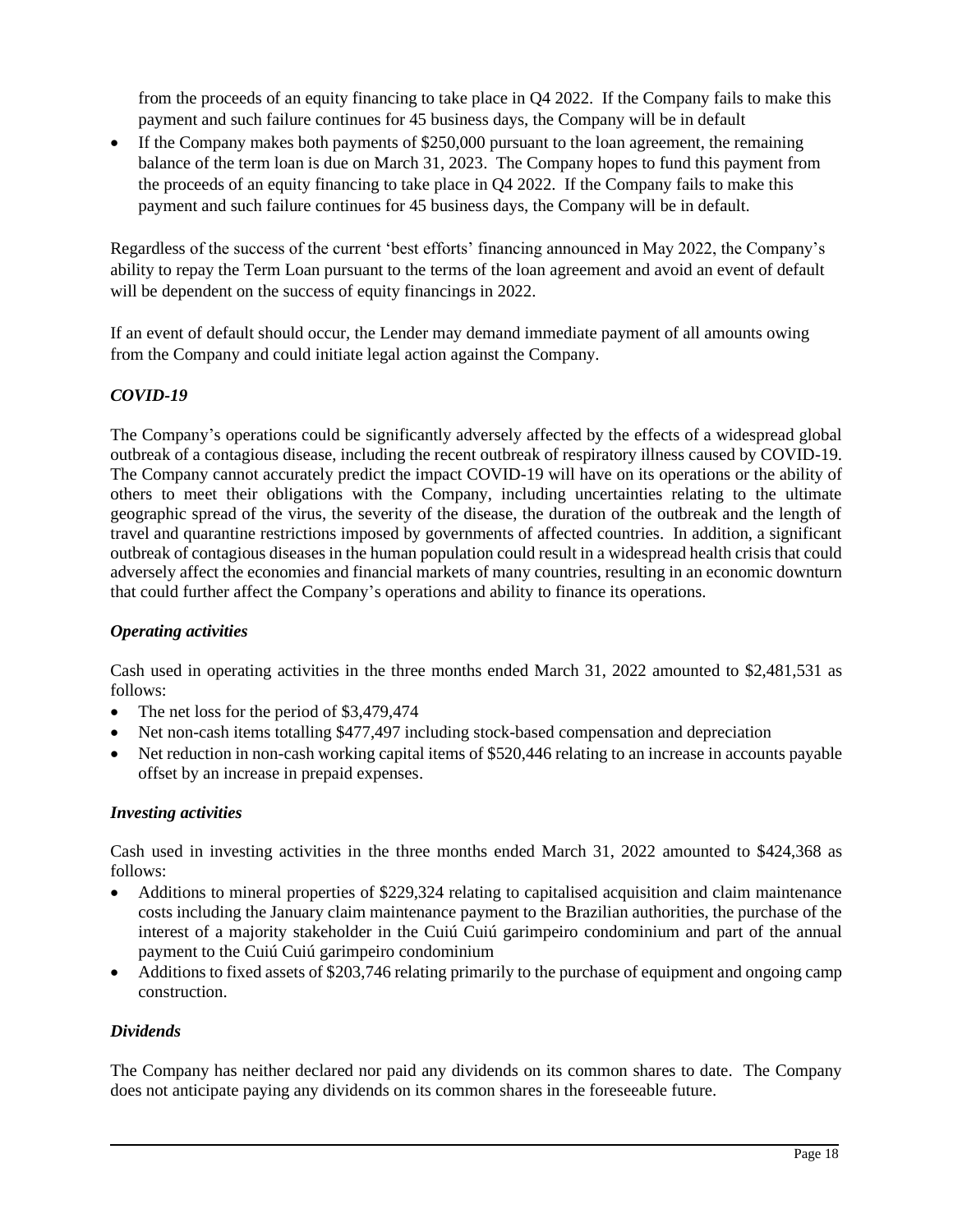from the proceeds of an equity financing to take place in Q4 2022. If the Company fails to make this payment and such failure continues for 45 business days, the Company will be in default

• If the Company makes both payments of \$250,000 pursuant to the loan agreement, the remaining balance of the term loan is due on March 31, 2023. The Company hopes to fund this payment from the proceeds of an equity financing to take place in Q4 2022. If the Company fails to make this payment and such failure continues for 45 business days, the Company will be in default.

Regardless of the success of the current 'best efforts' financing announced in May 2022, the Company's ability to repay the Term Loan pursuant to the terms of the loan agreement and avoid an event of default will be dependent on the success of equity financings in 2022.

If an event of default should occur, the Lender may demand immediate payment of all amounts owing from the Company and could initiate legal action against the Company.

#### *COVID-19*

The Company's operations could be significantly adversely affected by the effects of a widespread global outbreak of a contagious disease, including the recent outbreak of respiratory illness caused by COVID-19. The Company cannot accurately predict the impact COVID-19 will have on its operations or the ability of others to meet their obligations with the Company, including uncertainties relating to the ultimate geographic spread of the virus, the severity of the disease, the duration of the outbreak and the length of travel and quarantine restrictions imposed by governments of affected countries. In addition, a significant outbreak of contagious diseases in the human population could result in a widespread health crisis that could adversely affect the economies and financial markets of many countries, resulting in an economic downturn that could further affect the Company's operations and ability to finance its operations.

#### *Operating activities*

Cash used in operating activities in the three months ended March 31, 2022 amounted to \$2,481,531 as follows:

- The net loss for the period of \$3,479,474
- Net non-cash items totalling \$477,497 including stock-based compensation and depreciation
- Net reduction in non-cash working capital items of \$520,446 relating to an increase in accounts payable offset by an increase in prepaid expenses.

#### *Investing activities*

Cash used in investing activities in the three months ended March 31, 2022 amounted to \$424,368 as follows:

- Additions to mineral properties of \$229,324 relating to capitalised acquisition and claim maintenance costs including the January claim maintenance payment to the Brazilian authorities, the purchase of the interest of a majority stakeholder in the Cuiú Cuiú garimpeiro condominium and part of the annual payment to the Cuiú Cuiú garimpeiro condominium
- Additions to fixed assets of \$203,746 relating primarily to the purchase of equipment and ongoing camp construction.

#### *Dividends*

The Company has neither declared nor paid any dividends on its common shares to date. The Company does not anticipate paying any dividends on its common shares in the foreseeable future.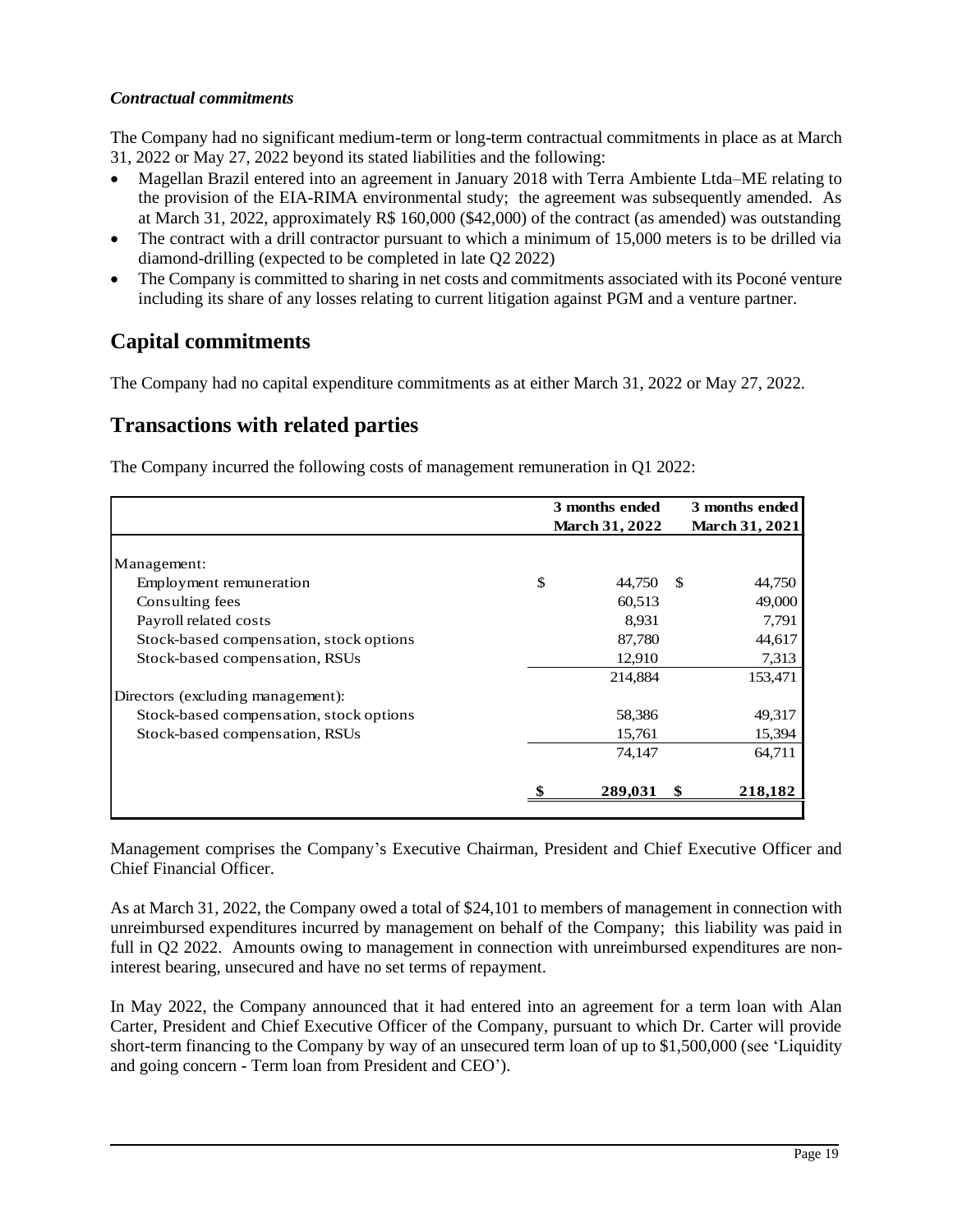#### *Contractual commitments*

The Company had no significant medium-term or long-term contractual commitments in place as at March 31, 2022 or May 27, 2022 beyond its stated liabilities and the following:

- Magellan Brazil entered into an agreement in January 2018 with Terra Ambiente Ltda–ME relating to the provision of the EIA-RIMA environmental study; the agreement was subsequently amended. As at March 31, 2022, approximately R\$ 160,000 (\$42,000) of the contract (as amended) was outstanding
- The contract with a drill contractor pursuant to which a minimum of 15,000 meters is to be drilled via diamond-drilling (expected to be completed in late Q2 2022)
- The Company is committed to sharing in net costs and commitments associated with its Poconé venture including its share of any losses relating to current litigation against PGM and a venture partner.

# **Capital commitments**

The Company had no capital expenditure commitments as at either March 31, 2022 or May 27, 2022.

# **Transactions with related parties**

The Company incurred the following costs of management remuneration in Q1 2022:

|                                         | 3 months ended        |     | 3 months ended |  |
|-----------------------------------------|-----------------------|-----|----------------|--|
|                                         | <b>March 31, 2022</b> |     | March 31, 2021 |  |
|                                         |                       |     |                |  |
| Management:                             |                       |     |                |  |
| Employment remuneration                 | \$<br>44.750          | \$. | 44,750         |  |
| Consulting fees                         | 60,513                |     | 49,000         |  |
| Payroll related costs                   | 8,931                 |     | 7,791          |  |
| Stock-based compensation, stock options | 87,780                |     | 44,617         |  |
| Stock-based compensation, RSUs          | 12,910                |     | 7,313          |  |
|                                         | 214,884               |     | 153,471        |  |
| Directors (excluding management):       |                       |     |                |  |
| Stock-based compensation, stock options | 58,386                |     | 49,317         |  |
| Stock-based compensation, RSUs          | 15,761                |     | 15,394         |  |
|                                         | 74,147                |     | 64,711         |  |
|                                         |                       |     |                |  |
|                                         | 289,031               | S   | 218,182        |  |
|                                         |                       |     |                |  |

Management comprises the Company's Executive Chairman, President and Chief Executive Officer and Chief Financial Officer.

As at March 31, 2022, the Company owed a total of \$24,101 to members of management in connection with unreimbursed expenditures incurred by management on behalf of the Company; this liability was paid in full in Q2 2022. Amounts owing to management in connection with unreimbursed expenditures are noninterest bearing, unsecured and have no set terms of repayment.

In May 2022, the Company announced that it had entered into an agreement for a term loan with Alan Carter, President and Chief Executive Officer of the Company, pursuant to which Dr. Carter will provide short-term financing to the Company by way of an unsecured term loan of up to \$1,500,000 (see 'Liquidity and going concern - Term loan from President and CEO').